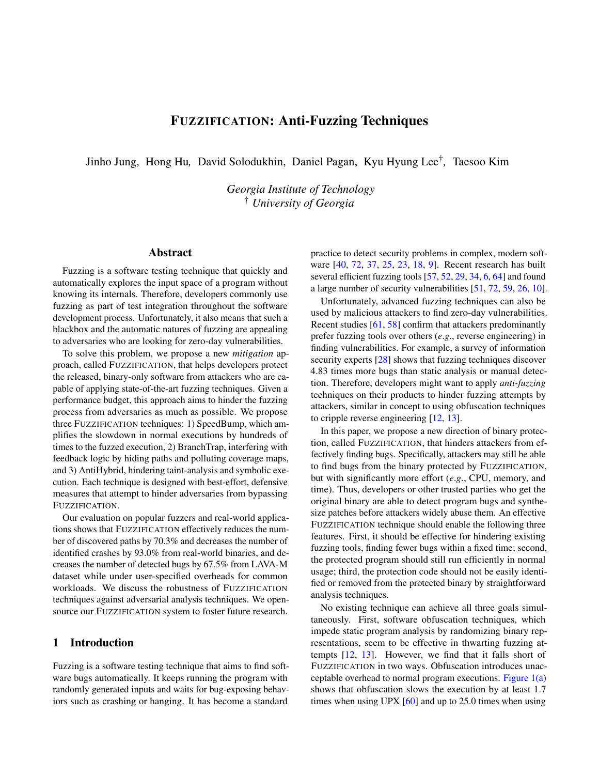# FUZZIFICATION: Anti-Fuzzing Techniques

Jinho Jung, Hong Hu*,* David Solodukhin, Daniel Pagan, Kyu Hyung Lee† *,* Taesoo Kim

*Georgia Institute of Technology* † *University of Georgia*

# Abstract

Fuzzing is a software testing technique that quickly and automatically explores the input space of a program without knowing its internals. Therefore, developers commonly use fuzzing as part of test integration throughout the software development process. Unfortunately, it also means that such a blackbox and the automatic natures of fuzzing are appealing to adversaries who are looking for zero-day vulnerabilities.

To solve this problem, we propose a new *mitigation* approach, called FUZZIFICATION, that helps developers protect the released, binary-only software from attackers who are capable of applying state-of-the-art fuzzing techniques. Given a performance budget, this approach aims to hinder the fuzzing process from adversaries as much as possible. We propose three FUZZIFICATION techniques: 1) SpeedBump, which amplifies the slowdown in normal executions by hundreds of times to the fuzzed execution, 2) BranchTrap, interfering with feedback logic by hiding paths and polluting coverage maps, and 3) AntiHybrid, hindering taint-analysis and symbolic execution. Each technique is designed with best-effort, defensive measures that attempt to hinder adversaries from bypassing FUZZIFICATION.

Our evaluation on popular fuzzers and real-world applications shows that FUZZIFICATION effectively reduces the number of discovered paths by 70.3% and decreases the number of identified crashes by 93.0% from real-world binaries, and decreases the number of detected bugs by 67.5% from LAVA-M dataset while under user-specified overheads for common workloads. We discuss the robustness of FUZZIFICATION techniques against adversarial analysis techniques. We opensource our FUZZIFICATION system to foster future research.

# 1 Introduction

Fuzzing is a software testing technique that aims to find software bugs automatically. It keeps running the program with randomly generated inputs and waits for bug-exposing behaviors such as crashing or hanging. It has become a standard

practice to detect security problems in complex, modern software [\[40,](#page-15-0) [72,](#page-16-0) [37,](#page-15-1) [25,](#page-14-0) [23,](#page-14-1) [18,](#page-14-2) [9\]](#page-14-3). Recent research has built several efficient fuzzing tools [\[57,](#page-15-2) [52,](#page-15-3) [29,](#page-14-4) [34,](#page-15-4) [6,](#page-14-5) [64\]](#page-16-1) and found a large number of security vulnerabilities [\[51,](#page-15-5) [72,](#page-16-0) [59,](#page-15-6) [26,](#page-14-6) [10\]](#page-14-7).

Unfortunately, advanced fuzzing techniques can also be used by malicious attackers to find zero-day vulnerabilities. Recent studies [\[61,](#page-15-7) [58\]](#page-15-8) confirm that attackers predominantly prefer fuzzing tools over others (*e*.*g*., reverse engineering) in finding vulnerabilities. For example, a survey of information security experts  $[28]$  shows that fuzzing techniques discover 4.83 times more bugs than static analysis or manual detection. Therefore, developers might want to apply *anti-fuzzing* techniques on their products to hinder fuzzing attempts by attackers, similar in concept to using obfuscation techniques to cripple reverse engineering [\[12,](#page-14-9) [13\]](#page-14-10).

In this paper, we propose a new direction of binary protection, called FUZZIFICATION, that hinders attackers from effectively finding bugs. Specifically, attackers may still be able to find bugs from the binary protected by FUZZIFICATION, but with significantly more effort (*e*.*g*., CPU, memory, and time). Thus, developers or other trusted parties who get the original binary are able to detect program bugs and synthesize patches before attackers widely abuse them. An effective FUZZIFICATION technique should enable the following three features. First, it should be effective for hindering existing fuzzing tools, finding fewer bugs within a fixed time; second, the protected program should still run efficiently in normal usage; third, the protection code should not be easily identified or removed from the protected binary by straightforward analysis techniques.

No existing technique can achieve all three goals simultaneously. First, software obfuscation techniques, which impede static program analysis by randomizing binary representations, seem to be effective in thwarting fuzzing attempts [\[12,](#page-14-9) [13\]](#page-14-10). However, we find that it falls short of FUZZIFICATION in two ways. Obfuscation introduces unacceptable overhead to normal program executions. [Figure 1\(](#page-1-0)a) shows that obfuscation slows the execution by at least 1.7 times when using UPX  $[60]$  and up to 25.0 times when using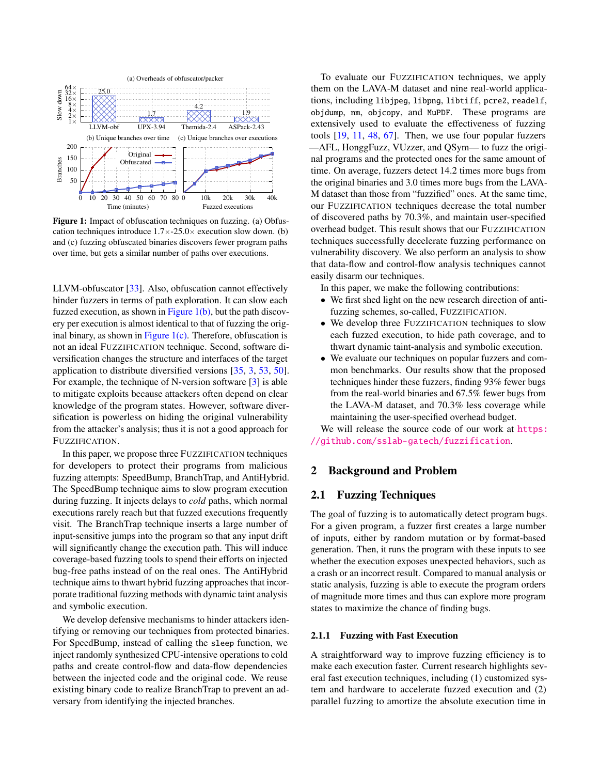<span id="page-1-0"></span>

Figure 1: Impact of obfuscation techniques on fuzzing. (a) Obfuscation techniques introduce  $1.7 \times 25.0 \times$  execution slow down. (b) and (c) fuzzing obfuscated binaries discovers fewer program paths over time, but gets a similar number of paths over executions.

LLVM-obfuscator [\[33\]](#page-15-10). Also, obfuscation cannot effectively hinder fuzzers in terms of path exploration. It can slow each fuzzed execution, as shown in Figure  $1(b)$ , but the path discovery per execution is almost identical to that of fuzzing the original binary, as shown in Figure  $1(c)$ . Therefore, obfuscation is not an ideal FUZZIFICATION technique. Second, software diversification changes the structure and interfaces of the target application to distribute diversified versions [\[35,](#page-15-11) [3,](#page-14-11) [53,](#page-15-12) [50\]](#page-15-13). For example, the technique of N-version software [\[3\]](#page-14-11) is able to mitigate exploits because attackers often depend on clear knowledge of the program states. However, software diversification is powerless on hiding the original vulnerability from the attacker's analysis; thus it is not a good approach for FUZZIFICATION.

In this paper, we propose three FUZZIFICATION techniques for developers to protect their programs from malicious fuzzing attempts: SpeedBump, BranchTrap, and AntiHybrid. The SpeedBump technique aims to slow program execution during fuzzing. It injects delays to *cold* paths, which normal executions rarely reach but that fuzzed executions frequently visit. The BranchTrap technique inserts a large number of input-sensitive jumps into the program so that any input drift will significantly change the execution path. This will induce coverage-based fuzzing tools to spend their efforts on injected bug-free paths instead of on the real ones. The AntiHybrid technique aims to thwart hybrid fuzzing approaches that incorporate traditional fuzzing methods with dynamic taint analysis and symbolic execution.

We develop defensive mechanisms to hinder attackers identifying or removing our techniques from protected binaries. For SpeedBump, instead of calling the sleep function, we inject randomly synthesized CPU-intensive operations to cold paths and create control-flow and data-flow dependencies between the injected code and the original code. We reuse existing binary code to realize BranchTrap to prevent an adversary from identifying the injected branches.

To evaluate our FUZZIFICATION techniques, we apply them on the LAVA-M dataset and nine real-world applications, including libjpeg, libpng, libtiff, pcre2, readelf, objdump, nm, objcopy, and MuPDF. These programs are extensively used to evaluate the effectiveness of fuzzing tools [\[19,](#page-14-12) [11,](#page-14-13) [48,](#page-15-14) [67\]](#page-16-2). Then, we use four popular fuzzers —AFL, HonggFuzz, VUzzer, and QSym— to fuzz the original programs and the protected ones for the same amount of time. On average, fuzzers detect 14.2 times more bugs from the original binaries and 3.0 times more bugs from the LAVA-M dataset than those from "fuzzified" ones. At the same time, our FUZZIFICATION techniques decrease the total number of discovered paths by 70.3%, and maintain user-specified overhead budget. This result shows that our FUZZIFICATION techniques successfully decelerate fuzzing performance on vulnerability discovery. We also perform an analysis to show that data-flow and control-flow analysis techniques cannot easily disarm our techniques.

In this paper, we make the following contributions:

- We first shed light on the new research direction of antifuzzing schemes, so-called, FUZZIFICATION.
- We develop three FUZZIFICATION techniques to slow each fuzzed execution, to hide path coverage, and to thwart dynamic taint-analysis and symbolic execution.
- We evaluate our techniques on popular fuzzers and common benchmarks. Our results show that the proposed techniques hinder these fuzzers, finding 93% fewer bugs from the real-world binaries and 67.5% fewer bugs from the LAVA-M dataset, and 70.3% less coverage while maintaining the user-specified overhead budget.

We will release the source code of our work at [https:](https://github.com/sslab-gatech/fuzzification) [//github.com/sslab-gatech/fuzzification](https://github.com/sslab-gatech/fuzzification).

# 2 Background and Problem

# <span id="page-1-1"></span>2.1 Fuzzing Techniques

The goal of fuzzing is to automatically detect program bugs. For a given program, a fuzzer first creates a large number of inputs, either by random mutation or by format-based generation. Then, it runs the program with these inputs to see whether the execution exposes unexpected behaviors, such as a crash or an incorrect result. Compared to manual analysis or static analysis, fuzzing is able to execute the program orders of magnitude more times and thus can explore more program states to maximize the chance of finding bugs.

### 2.1.1 Fuzzing with Fast Execution

A straightforward way to improve fuzzing efficiency is to make each execution faster. Current research highlights several fast execution techniques, including (1) customized system and hardware to accelerate fuzzed execution and (2) parallel fuzzing to amortize the absolute execution time in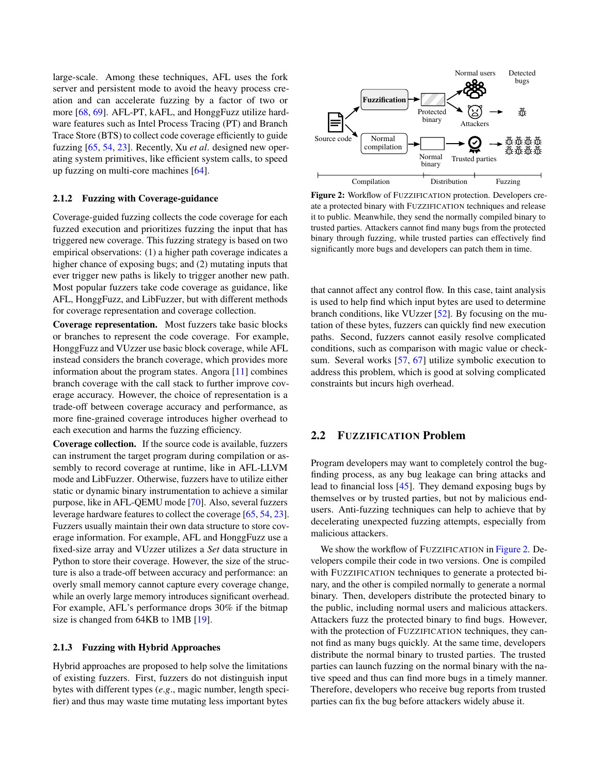large-scale. Among these techniques, AFL uses the fork server and persistent mode to avoid the heavy process creation and can accelerate fuzzing by a factor of two or more [\[68,](#page-16-3) [69\]](#page-16-4). AFL-PT, kAFL, and HonggFuzz utilize hardware features such as Intel Process Tracing (PT) and Branch Trace Store (BTS) to collect code coverage efficiently to guide fuzzing [\[65,](#page-16-5) [54,](#page-15-15) [23\]](#page-14-1). Recently, Xu *et al*. designed new operating system primitives, like efficient system calls, to speed up fuzzing on multi-core machines [\[64\]](#page-16-1).

#### 2.1.2 Fuzzing with Coverage-guidance

Coverage-guided fuzzing collects the code coverage for each fuzzed execution and prioritizes fuzzing the input that has triggered new coverage. This fuzzing strategy is based on two empirical observations: (1) a higher path coverage indicates a higher chance of exposing bugs; and (2) mutating inputs that ever trigger new paths is likely to trigger another new path. Most popular fuzzers take code coverage as guidance, like AFL, HonggFuzz, and LibFuzzer, but with different methods for coverage representation and coverage collection.

Coverage representation. Most fuzzers take basic blocks or branches to represent the code coverage. For example, HonggFuzz and VUzzer use basic block coverage, while AFL instead considers the branch coverage, which provides more information about the program states. Angora [\[11\]](#page-14-13) combines branch coverage with the call stack to further improve coverage accuracy. However, the choice of representation is a trade-off between coverage accuracy and performance, as more fine-grained coverage introduces higher overhead to each execution and harms the fuzzing efficiency.

Coverage collection. If the source code is available, fuzzers can instrument the target program during compilation or assembly to record coverage at runtime, like in AFL-LLVM mode and LibFuzzer. Otherwise, fuzzers have to utilize either static or dynamic binary instrumentation to achieve a similar purpose, like in AFL-QEMU mode [\[70\]](#page-16-6). Also, several fuzzers leverage hardware features to collect the coverage [\[65,](#page-16-5) [54,](#page-15-15) [23\]](#page-14-1). Fuzzers usually maintain their own data structure to store coverage information. For example, AFL and HonggFuzz use a fixed-size array and VUzzer utilizes a *Set* data structure in Python to store their coverage. However, the size of the structure is also a trade-off between accuracy and performance: an overly small memory cannot capture every coverage change, while an overly large memory introduces significant overhead. For example, AFL's performance drops 30% if the bitmap size is changed from 64KB to 1MB [\[19\]](#page-14-12).

#### 2.1.3 Fuzzing with Hybrid Approaches

Hybrid approaches are proposed to help solve the limitations of existing fuzzers. First, fuzzers do not distinguish input bytes with different types (*e*.*g*., magic number, length specifier) and thus may waste time mutating less important bytes

<span id="page-2-0"></span>

Figure 2: Workflow of FUZZIFICATION protection. Developers create a protected binary with FUZZIFICATION techniques and release it to public. Meanwhile, they send the normally compiled binary to trusted parties. Attackers cannot find many bugs from the protected binary through fuzzing, while trusted parties can effectively find significantly more bugs and developers can patch them in time.

that cannot affect any control flow. In this case, taint analysis is used to help find which input bytes are used to determine branch conditions, like VUzzer [\[52\]](#page-15-3). By focusing on the mutation of these bytes, fuzzers can quickly find new execution paths. Second, fuzzers cannot easily resolve complicated conditions, such as comparison with magic value or check-sum. Several works [\[57,](#page-15-2) [67\]](#page-16-2) utilize symbolic execution to address this problem, which is good at solving complicated constraints but incurs high overhead.

### 2.2 FUZZIFICATION Problem

Program developers may want to completely control the bugfinding process, as any bug leakage can bring attacks and lead to financial loss [\[45\]](#page-15-16). They demand exposing bugs by themselves or by trusted parties, but not by malicious endusers. Anti-fuzzing techniques can help to achieve that by decelerating unexpected fuzzing attempts, especially from malicious attackers.

We show the workflow of FUZZIFICATION in [Figure 2.](#page-2-0) Developers compile their code in two versions. One is compiled with FUZZIFICATION techniques to generate a protected binary, and the other is compiled normally to generate a normal binary. Then, developers distribute the protected binary to the public, including normal users and malicious attackers. Attackers fuzz the protected binary to find bugs. However, with the protection of FUZZIFICATION techniques, they cannot find as many bugs quickly. At the same time, developers distribute the normal binary to trusted parties. The trusted parties can launch fuzzing on the normal binary with the native speed and thus can find more bugs in a timely manner. Therefore, developers who receive bug reports from trusted parties can fix the bug before attackers widely abuse it.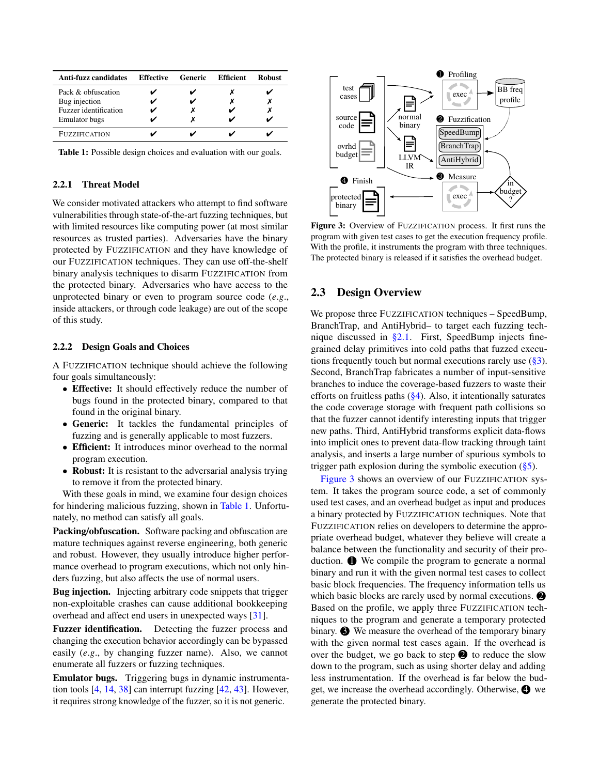<span id="page-3-0"></span>

| Anti-fuzz candidates  | Effective | Generic | Efficient | Robust |
|-----------------------|-----------|---------|-----------|--------|
| Pack & obfuscation    |           |         |           |        |
| Bug injection         |           |         |           |        |
| Fuzzer identification |           |         |           |        |
| <b>Emulator</b> bugs  |           |         |           |        |
| <b>FUZZIFICATION</b>  |           |         |           |        |

Table 1: Possible design choices and evaluation with our goals.

#### 2.2.1 Threat Model

We consider motivated attackers who attempt to find software vulnerabilities through state-of-the-art fuzzing techniques, but with limited resources like computing power (at most similar resources as trusted parties). Adversaries have the binary protected by FUZZIFICATION and they have knowledge of our FUZZIFICATION techniques. They can use off-the-shelf binary analysis techniques to disarm FUZZIFICATION from the protected binary. Adversaries who have access to the unprotected binary or even to program source code (*e*.*g*., inside attackers, or through code leakage) are out of the scope of this study.

#### 2.2.2 Design Goals and Choices

A FUZZIFICATION technique should achieve the following four goals simultaneously:

- Effective: It should effectively reduce the number of bugs found in the protected binary, compared to that found in the original binary.
- Generic: It tackles the fundamental principles of fuzzing and is generally applicable to most fuzzers.
- Efficient: It introduces minor overhead to the normal program execution.
- Robust: It is resistant to the adversarial analysis trying to remove it from the protected binary.

With these goals in mind, we examine four design choices for hindering malicious fuzzing, shown in [Table 1.](#page-3-0) Unfortunately, no method can satisfy all goals.

Packing/obfuscation. Software packing and obfuscation are mature techniques against reverse engineering, both generic and robust. However, they usually introduce higher performance overhead to program executions, which not only hinders fuzzing, but also affects the use of normal users.

Bug injection. Injecting arbitrary code snippets that trigger non-exploitable crashes can cause additional bookkeeping overhead and affect end users in unexpected ways [\[31\]](#page-15-17).

Fuzzer identification. Detecting the fuzzer process and changing the execution behavior accordingly can be bypassed easily (*e*.*g*., by changing fuzzer name). Also, we cannot enumerate all fuzzers or fuzzing techniques.

Emulator bugs. Triggering bugs in dynamic instrumentation tools [\[4,](#page-14-14) [14,](#page-14-15) [38\]](#page-15-18) can interrupt fuzzing [\[42,](#page-15-19) [43\]](#page-15-20). However, it requires strong knowledge of the fuzzer, so it is not generic.

<span id="page-3-1"></span>

Figure 3: Overview of FUZZIFICATION process. It first runs the program with given test cases to get the execution frequency profile. With the profile, it instruments the program with three techniques. The protected binary is released if it satisfies the overhead budget.

## 2.3 Design Overview

We propose three FUZZIFICATION techniques – SpeedBump, BranchTrap, and AntiHybrid– to target each fuzzing technique discussed in [§2.1.](#page-1-1) First, SpeedBump injects finegrained delay primitives into cold paths that fuzzed executions frequently touch but normal executions rarely use [\(§3\)](#page-4-0). Second, BranchTrap fabricates a number of input-sensitive branches to induce the coverage-based fuzzers to waste their efforts on fruitless paths  $(\frac{6}{4})$ . Also, it intentionally saturates the code coverage storage with frequent path collisions so that the fuzzer cannot identify interesting inputs that trigger new paths. Third, AntiHybrid transforms explicit data-flows into implicit ones to prevent data-flow tracking through taint analysis, and inserts a large number of spurious symbols to trigger path explosion during the symbolic execution  $(\frac{8}{5})$ .

[Figure 3](#page-3-1) shows an overview of our FUZZIFICATION system. It takes the program source code, a set of commonly used test cases, and an overhead budget as input and produces a binary protected by FUZZIFICATION techniques. Note that FUZZIFICATION relies on developers to determine the appropriate overhead budget, whatever they believe will create a balance between the functionality and security of their production.  $\bullet$  We compile the program to generate a normal binary and run it with the given normal test cases to collect basic block frequencies. The frequency information tells us which basic blocks are rarely used by normal executions.  $\bullet$ Based on the profile, we apply three FUZZIFICATION techniques to the program and generate a temporary protected binary.  $\bigcirc$  We measure the overhead of the temporary binary with the given normal test cases again. If the overhead is over the budget, we go back to step  $\bullet$  to reduce the slow down to the program, such as using shorter delay and adding less instrumentation. If the overhead is far below the budget, we increase the overhead accordingly. Otherwise,  $\bigcirc$  we generate the protected binary.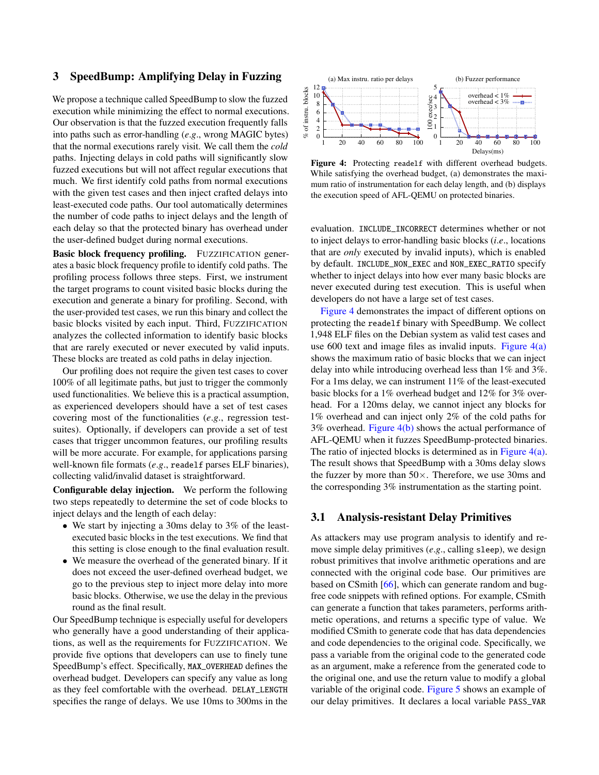### <span id="page-4-0"></span>3 SpeedBump: Amplifying Delay in Fuzzing

We propose a technique called SpeedBump to slow the fuzzed execution while minimizing the effect to normal executions. Our observation is that the fuzzed execution frequently falls into paths such as error-handling (*e*.*g*., wrong MAGIC bytes) that the normal executions rarely visit. We call them the *cold* paths. Injecting delays in cold paths will significantly slow fuzzed executions but will not affect regular executions that much. We first identify cold paths from normal executions with the given test cases and then inject crafted delays into least-executed code paths. Our tool automatically determines the number of code paths to inject delays and the length of each delay so that the protected binary has overhead under the user-defined budget during normal executions.

Basic block frequency profiling. FUZZIFICATION generates a basic block frequency profile to identify cold paths. The profiling process follows three steps. First, we instrument the target programs to count visited basic blocks during the execution and generate a binary for profiling. Second, with the user-provided test cases, we run this binary and collect the basic blocks visited by each input. Third, FUZZIFICATION analyzes the collected information to identify basic blocks that are rarely executed or never executed by valid inputs. These blocks are treated as cold paths in delay injection.

Our profiling does not require the given test cases to cover 100% of all legitimate paths, but just to trigger the commonly used functionalities. We believe this is a practical assumption, as experienced developers should have a set of test cases covering most of the functionalities (*e*.*g*., regression testsuites). Optionally, if developers can provide a set of test cases that trigger uncommon features, our profiling results will be more accurate. For example, for applications parsing well-known file formats (*e*.*g*., readelf parses ELF binaries), collecting valid/invalid dataset is straightforward.

Configurable delay injection. We perform the following two steps repeatedly to determine the set of code blocks to inject delays and the length of each delay:

- We start by injecting a 30ms delay to 3% of the leastexecuted basic blocks in the test executions. We find that this setting is close enough to the final evaluation result.
- We measure the overhead of the generated binary. If it does not exceed the user-defined overhead budget, we go to the previous step to inject more delay into more basic blocks. Otherwise, we use the delay in the previous round as the final result.

Our SpeedBump technique is especially useful for developers who generally have a good understanding of their applications, as well as the requirements for FUZZIFICATION. We provide five options that developers can use to finely tune SpeedBump's effect. Specifically, MAX\_OVERHEAD defines the overhead budget. Developers can specify any value as long as they feel comfortable with the overhead. DELAY\_LENGTH specifies the range of delays. We use 10ms to 300ms in the

<span id="page-4-1"></span>

Figure 4: Protecting readelf with different overhead budgets. While satisfying the overhead budget, (a) demonstrates the maximum ratio of instrumentation for each delay length, and (b) displays the execution speed of AFL-QEMU on protected binaries.

evaluation. INCLUDE\_INCORRECT determines whether or not to inject delays to error-handling basic blocks (*i*.*e*., locations that are *only* executed by invalid inputs), which is enabled by default. INCLUDE\_NON\_EXEC and NON\_EXEC\_RATIO specify whether to inject delays into how ever many basic blocks are never executed during test execution. This is useful when developers do not have a large set of test cases.

[Figure 4](#page-4-1) demonstrates the impact of different options on protecting the readelf binary with SpeedBump. We collect 1,948 ELF files on the Debian system as valid test cases and use 600 text and image files as invalid inputs. Figure  $4(a)$ shows the maximum ratio of basic blocks that we can inject delay into while introducing overhead less than 1% and 3%. For a 1ms delay, we can instrument 11% of the least-executed basic blocks for a 1% overhead budget and 12% for 3% overhead. For a 120ms delay, we cannot inject any blocks for 1% overhead and can inject only 2% of the cold paths for 3% overhead. [Figure 4\(](#page-4-1)b) shows the actual performance of AFL-QEMU when it fuzzes SpeedBump-protected binaries. The ratio of injected blocks is determined as in [Figure 4\(](#page-4-1)a). The result shows that SpeedBump with a 30ms delay slows the fuzzer by more than  $50\times$ . Therefore, we use 30ms and the corresponding 3% instrumentation as the starting point.

### 3.1 Analysis-resistant Delay Primitives

As attackers may use program analysis to identify and remove simple delay primitives (*e*.*g*., calling sleep), we design robust primitives that involve arithmetic operations and are connected with the original code base. Our primitives are based on CSmith [\[66\]](#page-16-7), which can generate random and bugfree code snippets with refined options. For example, CSmith can generate a function that takes parameters, performs arithmetic operations, and returns a specific type of value. We modified CSmith to generate code that has data dependencies and code dependencies to the original code. Specifically, we pass a variable from the original code to the generated code as an argument, make a reference from the generated code to the original one, and use the return value to modify a global variable of the original code. [Figure 5](#page-5-1) shows an example of our delay primitives. It declares a local variable PASS\_VAR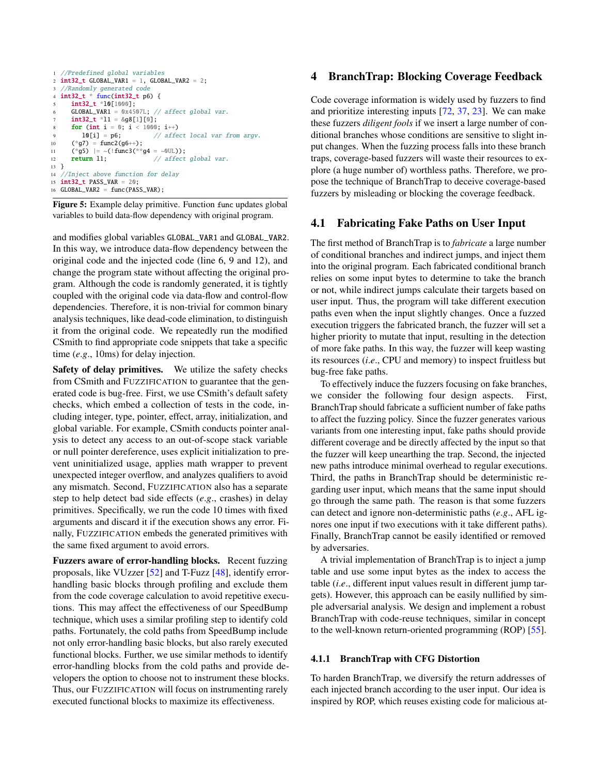```
1 //Predefined global variables
2 int32_t GLOBAL_VAR1 = 1, GLOBAL_VAR2 = 2;
 3 //Randomly generated code<br>4 int32_t * <mark>func(int32_t</mark> p6) {
      5 int32_t *l0[1000];
      GLOBAL_VARI = 0x4507L; // affect global var.
      int32_t *11 = \&g8[1][0];for (int i = 0; i < 1000; i++)
         10[i] = p6; // affect local var from argv.
10 (*g7) = func2(g6++);
11 (*g5) | = \sim (! func3(**g4 = ~0UL));
12 return 11; \frac{1}{2} affect global var.
13 }
14 //Inject above function for delay
15 int32_t PASS_VAR = 20;
16 GLOBAL_VAR2 = func(PASS_VAR);
```
Figure 5: Example delay primitive. Function func updates global variables to build data-flow dependency with original program.

and modifies global variables GLOBAL\_VAR1 and GLOBAL\_VAR2. In this way, we introduce data-flow dependency between the original code and the injected code (line 6, 9 and 12), and change the program state without affecting the original program. Although the code is randomly generated, it is tightly coupled with the original code via data-flow and control-flow dependencies. Therefore, it is non-trivial for common binary analysis techniques, like dead-code elimination, to distinguish it from the original code. We repeatedly run the modified CSmith to find appropriate code snippets that take a specific time (*e*.*g*., 10ms) for delay injection.

Safety of delay primitives. We utilize the safety checks from CSmith and FUZZIFICATION to guarantee that the generated code is bug-free. First, we use CSmith's default safety checks, which embed a collection of tests in the code, including integer, type, pointer, effect, array, initialization, and global variable. For example, CSmith conducts pointer analysis to detect any access to an out-of-scope stack variable or null pointer dereference, uses explicit initialization to prevent uninitialized usage, applies math wrapper to prevent unexpected integer overflow, and analyzes qualifiers to avoid any mismatch. Second, FUZZIFICATION also has a separate step to help detect bad side effects (*e*.*g*., crashes) in delay primitives. Specifically, we run the code 10 times with fixed arguments and discard it if the execution shows any error. Finally, FUZZIFICATION embeds the generated primitives with the same fixed argument to avoid errors.

Fuzzers aware of error-handling blocks. Recent fuzzing proposals, like VUzzer [\[52\]](#page-15-3) and T-Fuzz [\[48\]](#page-15-14), identify errorhandling basic blocks through profiling and exclude them from the code coverage calculation to avoid repetitive executions. This may affect the effectiveness of our SpeedBump technique, which uses a similar profiling step to identify cold paths. Fortunately, the cold paths from SpeedBump include not only error-handling basic blocks, but also rarely executed functional blocks. Further, we use similar methods to identify error-handling blocks from the cold paths and provide developers the option to choose not to instrument these blocks. Thus, our FUZZIFICATION will focus on instrumenting rarely executed functional blocks to maximize its effectiveness.

# <span id="page-5-0"></span>4 BranchTrap: Blocking Coverage Feedback

Code coverage information is widely used by fuzzers to find and prioritize interesting inputs [\[72,](#page-16-0) [37,](#page-15-1) [23\]](#page-14-1). We can make these fuzzers *diligent fools* if we insert a large number of conditional branches whose conditions are sensitive to slight input changes. When the fuzzing process falls into these branch traps, coverage-based fuzzers will waste their resources to explore (a huge number of) worthless paths. Therefore, we propose the technique of BranchTrap to deceive coverage-based fuzzers by misleading or blocking the coverage feedback.

### 4.1 Fabricating Fake Paths on User Input

The first method of BranchTrap is to *fabricate* a large number of conditional branches and indirect jumps, and inject them into the original program. Each fabricated conditional branch relies on some input bytes to determine to take the branch or not, while indirect jumps calculate their targets based on user input. Thus, the program will take different execution paths even when the input slightly changes. Once a fuzzed execution triggers the fabricated branch, the fuzzer will set a higher priority to mutate that input, resulting in the detection of more fake paths. In this way, the fuzzer will keep wasting its resources (*i*.*e*., CPU and memory) to inspect fruitless but bug-free fake paths.

To effectively induce the fuzzers focusing on fake branches, we consider the following four design aspects. First, BranchTrap should fabricate a sufficient number of fake paths to affect the fuzzing policy. Since the fuzzer generates various variants from one interesting input, fake paths should provide different coverage and be directly affected by the input so that the fuzzer will keep unearthing the trap. Second, the injected new paths introduce minimal overhead to regular executions. Third, the paths in BranchTrap should be deterministic regarding user input, which means that the same input should go through the same path. The reason is that some fuzzers can detect and ignore non-deterministic paths (*e*.*g*., AFL ignores one input if two executions with it take different paths). Finally, BranchTrap cannot be easily identified or removed by adversaries.

A trivial implementation of BranchTrap is to inject a jump table and use some input bytes as the index to access the table (*i*.*e*., different input values result in different jump targets). However, this approach can be easily nullified by simple adversarial analysis. We design and implement a robust BranchTrap with code-reuse techniques, similar in concept to the well-known return-oriented programming (ROP) [\[55\]](#page-15-21).

#### 4.1.1 BranchTrap with CFG Distortion

To harden BranchTrap, we diversify the return addresses of each injected branch according to the user input. Our idea is inspired by ROP, which reuses existing code for malicious at-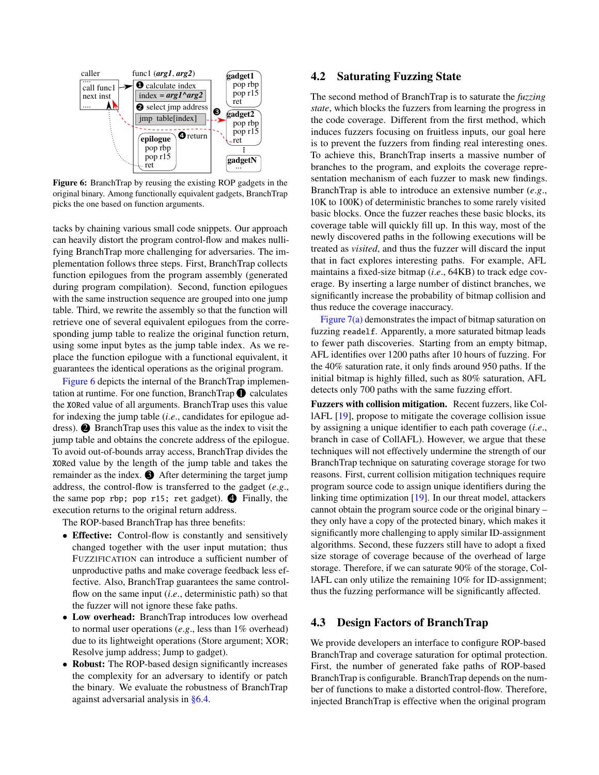<span id="page-6-0"></span>

Figure 6: BranchTrap by reusing the existing ROP gadgets in the original binary. Among functionally equivalent gadgets, BranchTrap picks the one based on function arguments.

tacks by chaining various small code snippets. Our approach can heavily distort the program control-flow and makes nullifying BranchTrap more challenging for adversaries. The implementation follows three steps. First, BranchTrap collects function epilogues from the program assembly (generated during program compilation). Second, function epilogues with the same instruction sequence are grouped into one jump table. Third, we rewrite the assembly so that the function will retrieve one of several equivalent epilogues from the corresponding jump table to realize the original function return, using some input bytes as the jump table index. As we replace the function epilogue with a functional equivalent, it guarantees the identical operations as the original program.

[Figure 6](#page-6-0) depicts the internal of the BranchTrap implementation at runtime. For one function, BranchTrap  $\bigcirc$  calculates the XORed value of all arguments. BranchTrap uses this value for indexing the jump table (*i*.*e*., candidates for epilogue address). 2 BranchTrap uses this value as the index to visit the jump table and obtains the concrete address of the epilogue. To avoid out-of-bounds array access, BranchTrap divides the XORed value by the length of the jump table and takes the remainder as the index.  $\bigcirc$  After determining the target jump address, the control-flow is transferred to the gadget (*e*.*g*., the same pop rbp; pop r15; ret gadget).  $\bullet$  Finally, the execution returns to the original return address.

The ROP-based BranchTrap has three benefits:

- Effective: Control-flow is constantly and sensitively changed together with the user input mutation; thus FUZZIFICATION can introduce a sufficient number of unproductive paths and make coverage feedback less effective. Also, BranchTrap guarantees the same controlflow on the same input (*i*.*e*., deterministic path) so that the fuzzer will not ignore these fake paths.
- Low overhead: BranchTrap introduces low overhead to normal user operations (*e*.*g*., less than 1% overhead) due to its lightweight operations (Store argument; XOR; Resolve jump address; Jump to gadget).
- Robust: The ROP-based design significantly increases the complexity for an adversary to identify or patch the binary. We evaluate the robustness of BranchTrap against adversarial analysis in [§6.4.](#page-11-0)

# 4.2 Saturating Fuzzing State

The second method of BranchTrap is to saturate the *fuzzing state*, which blocks the fuzzers from learning the progress in the code coverage. Different from the first method, which induces fuzzers focusing on fruitless inputs, our goal here is to prevent the fuzzers from finding real interesting ones. To achieve this, BranchTrap inserts a massive number of branches to the program, and exploits the coverage representation mechanism of each fuzzer to mask new findings. BranchTrap is able to introduce an extensive number (*e*.*g*., 10K to 100K) of deterministic branches to some rarely visited basic blocks. Once the fuzzer reaches these basic blocks, its coverage table will quickly fill up. In this way, most of the newly discovered paths in the following executions will be treated as *visited*, and thus the fuzzer will discard the input that in fact explores interesting paths. For example, AFL maintains a fixed-size bitmap (*i*.*e*., 64KB) to track edge coverage. By inserting a large number of distinct branches, we significantly increase the probability of bitmap collision and thus reduce the coverage inaccuracy.

[Figure 7\(](#page-7-1)a) demonstrates the impact of bitmap saturation on fuzzing readelf. Apparently, a more saturated bitmap leads to fewer path discoveries. Starting from an empty bitmap, AFL identifies over 1200 paths after 10 hours of fuzzing. For the 40% saturation rate, it only finds around 950 paths. If the initial bitmap is highly filled, such as 80% saturation, AFL detects only 700 paths with the same fuzzing effort.

Fuzzers with collision mitigation. Recent fuzzers, like CollAFL [\[19\]](#page-14-12), propose to mitigate the coverage collision issue by assigning a unique identifier to each path coverage (*i*.*e*., branch in case of CollAFL). However, we argue that these techniques will not effectively undermine the strength of our BranchTrap technique on saturating coverage storage for two reasons. First, current collision mitigation techniques require program source code to assign unique identifiers during the linking time optimization [\[19\]](#page-14-12). In our threat model, attackers cannot obtain the program source code or the original binary – they only have a copy of the protected binary, which makes it significantly more challenging to apply similar ID-assignment algorithms. Second, these fuzzers still have to adopt a fixed size storage of coverage because of the overhead of large storage. Therefore, if we can saturate 90% of the storage, CollAFL can only utilize the remaining 10% for ID-assignment; thus the fuzzing performance will be significantly affected.

### 4.3 Design Factors of BranchTrap

We provide developers an interface to configure ROP-based BranchTrap and coverage saturation for optimal protection. First, the number of generated fake paths of ROP-based BranchTrap is configurable. BranchTrap depends on the number of functions to make a distorted control-flow. Therefore, injected BranchTrap is effective when the original program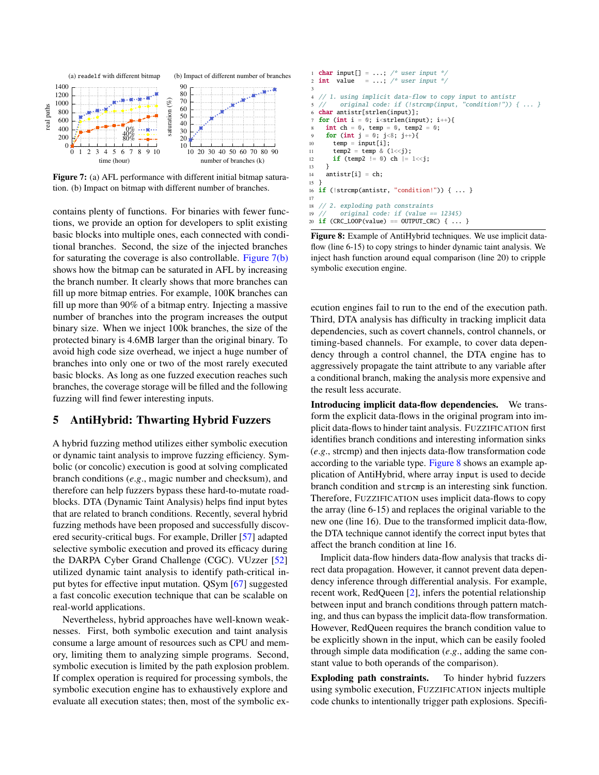<span id="page-7-1"></span>

Figure 7: (a) AFL performance with different initial bitmap saturation. (b) Impact on bitmap with different number of branches.

contains plenty of functions. For binaries with fewer functions, we provide an option for developers to split existing basic blocks into multiple ones, each connected with conditional branches. Second, the size of the injected branches for saturating the coverage is also controllable. [Figure 7\(](#page-7-1)b) shows how the bitmap can be saturated in AFL by increasing the branch number. It clearly shows that more branches can fill up more bitmap entries. For example, 100K branches can fill up more than 90% of a bitmap entry. Injecting a massive number of branches into the program increases the output binary size. When we inject 100k branches, the size of the protected binary is 4.6MB larger than the original binary. To avoid high code size overhead, we inject a huge number of branches into only one or two of the most rarely executed basic blocks. As long as one fuzzed execution reaches such branches, the coverage storage will be filled and the following fuzzing will find fewer interesting inputs.

## <span id="page-7-0"></span>5 AntiHybrid: Thwarting Hybrid Fuzzers

A hybrid fuzzing method utilizes either symbolic execution or dynamic taint analysis to improve fuzzing efficiency. Symbolic (or concolic) execution is good at solving complicated branch conditions (*e*.*g*., magic number and checksum), and therefore can help fuzzers bypass these hard-to-mutate roadblocks. DTA (Dynamic Taint Analysis) helps find input bytes that are related to branch conditions. Recently, several hybrid fuzzing methods have been proposed and successfully discovered security-critical bugs. For example, Driller [\[57\]](#page-15-2) adapted selective symbolic execution and proved its efficacy during the DARPA Cyber Grand Challenge (CGC). VUzzer [\[52\]](#page-15-3) utilized dynamic taint analysis to identify path-critical input bytes for effective input mutation. QSym [\[67\]](#page-16-2) suggested a fast concolic execution technique that can be scalable on real-world applications.

Nevertheless, hybrid approaches have well-known weaknesses. First, both symbolic execution and taint analysis consume a large amount of resources such as CPU and memory, limiting them to analyzing simple programs. Second, symbolic execution is limited by the path explosion problem. If complex operation is required for processing symbols, the symbolic execution engine has to exhaustively explore and evaluate all execution states; then, most of the symbolic ex-

```
1 char input[] = ...; /* user input */
2 int value = \ldots; \frac{1}{x} user input \frac{x}{y}3
4 // 1. using implicit data-flow to copy input to antistr
5 // original code: if (!strcmp(input, "condition!")) { ... }
6 char antistr[strlen(input)];
7 for (int i = 0; i<strlen(input): i++)8 int ch = 0, temp = 0, temp2 = 0;
    for (int j = 0; j < 8; j++){
10 temp = input[i];
11 temp2 = temp & (1 < i);
12 if (temp2 != 0) ch | = 1 \lt i;
13 }
14 antistr[i] = ch;<br>15 \frac{1}{2}1516 if (!strcmp(antistr, "condition!")) { ... }
17
18 // 2. exploding path constraints
19 // original code: if (value == 12345)
20 if (CRC_LOOP(value) == OUTPUT_CRC) { ... }
```
Figure 8: Example of AntiHybrid techniques. We use implicit dataflow (line 6-15) to copy strings to hinder dynamic taint analysis. We inject hash function around equal comparison (line 20) to cripple symbolic execution engine.

ecution engines fail to run to the end of the execution path. Third, DTA analysis has difficulty in tracking implicit data dependencies, such as covert channels, control channels, or timing-based channels. For example, to cover data dependency through a control channel, the DTA engine has to aggressively propagate the taint attribute to any variable after a conditional branch, making the analysis more expensive and the result less accurate.

Introducing implicit data-flow dependencies. We transform the explicit data-flows in the original program into implicit data-flows to hinder taint analysis. FUZZIFICATION first identifies branch conditions and interesting information sinks (*e*.*g*., strcmp) and then injects data-flow transformation code according to the variable type. [Figure 8](#page-7-2) shows an example application of AntiHybrid, where array input is used to decide branch condition and strcmp is an interesting sink function. Therefore, FUZZIFICATION uses implicit data-flows to copy the array (line 6-15) and replaces the original variable to the new one (line 16). Due to the transformed implicit data-flow, the DTA technique cannot identify the correct input bytes that affect the branch condition at line 16.

Implicit data-flow hinders data-flow analysis that tracks direct data propagation. However, it cannot prevent data dependency inference through differential analysis. For example, recent work, RedQueen [\[2\]](#page-14-16), infers the potential relationship between input and branch conditions through pattern matching, and thus can bypass the implicit data-flow transformation. However, RedQueen requires the branch condition value to be explicitly shown in the input, which can be easily fooled through simple data modification (*e*.*g*., adding the same constant value to both operands of the comparison).

Exploding path constraints. To hinder hybrid fuzzers using symbolic execution, FUZZIFICATION injects multiple code chunks to intentionally trigger path explosions. Specifi-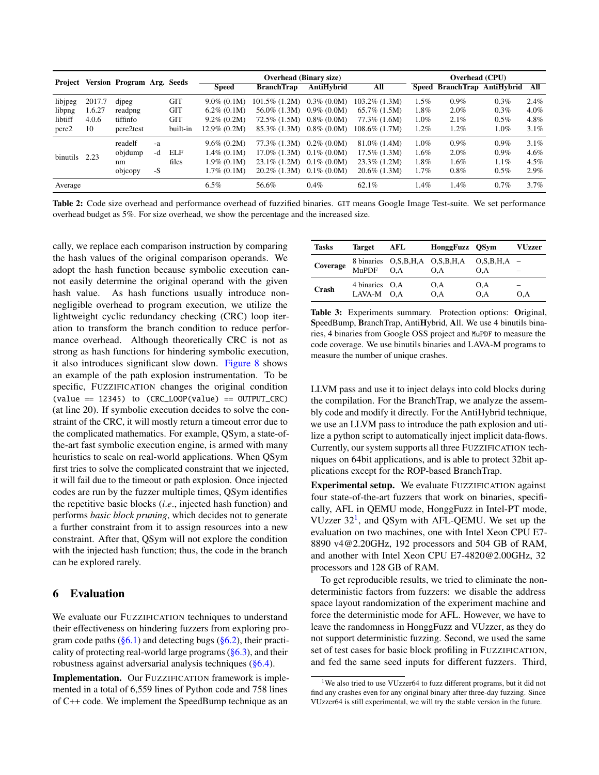<span id="page-8-1"></span>

|          |        | Version Program Arg. Seeds |    |            | <b>Overhead (Binary size)</b> |                   |                | Overhead (CPU)    |         |                             |         |         |
|----------|--------|----------------------------|----|------------|-------------------------------|-------------------|----------------|-------------------|---------|-----------------------------|---------|---------|
| Project  |        |                            |    |            | <b>Speed</b>                  | <b>BranchTrap</b> | AntiHybrid     | All               |         | Speed BranchTrap AntiHybrid |         | All     |
| libjpeg  | 2017.7 | dipeg                      |    | <b>GIT</b> | $9.0\%$ (0.1M)                | 101.5% (1.2M)     | $0.3\%$ (0.0M) | $103.2\%$ (1.3M)  | $1.5\%$ | $0.9\%$                     | 0.3%    | 2.4%    |
| libpng   | 1.6.27 | readpng                    |    | <b>GIT</b> | $6.2\%$ (0.1M)                | $56.0\%$ (1.3M)   | $0.9\%$ (0.0M) | $65.7\%$ $(1.5M)$ | 1.8%    | $2.0\%$                     | 0.3%    | 4.0%    |
| libtiff  | 4.0.6  | tiffinfo                   |    | <b>GIT</b> | $9.2\% (0.2M)$                | $72.5\%$ (1.5M)   | $0.8\%$ (0.0M) | 77.3% (1.6M)      | $1.0\%$ | 2.1%                        | $0.5\%$ | 4.8%    |
| pcre2    | 10     | pcre2test                  |    | built-in   | $12.9\% (0.2M)$               | $85.3\%$ (1.3M)   | $0.8\%$ (0.0M) | $108.6\%$ (1.7M)  | 1.2%    | $1.2\%$                     | $1.0\%$ | 3.1%    |
|          |        | readelf                    | -a |            | $9.6\% (0.2M)$                | 77.3% (1.3M)      | $0.2\%$ (0.0M) | $81.0\%$ (1.4M)   | $1.0\%$ | $0.9\%$                     | $0.9\%$ | 3.1%    |
| binutils | 2.23   | objdump                    | -d | ELF        | $1.4\%$ (0.1M)                | $17.0\%$ (1.3M)   | $0.1\%$ (0.0M) | $17.5\%$ (1.3M)   | 1.6%    | 2.0%                        | $0.9\%$ | 4.6%    |
|          |        | nm                         |    | files      | $1.9\%$ (0.1M)                | $23.1\%$ (1.2M)   | $0.1\%$ (0.0M) | $23.3\%$ (1.2M)   | 1.8%    | $1.6\%$                     | $1.1\%$ | $4.5\%$ |
|          |        | objcopy                    | -S |            | $1.7\%$ (0.1M)                | $20.2\%$ (1.3M)   | $0.1\%$ (0.0M) | $20.6\%$ (1.3M)   | 1.7%    | $0.8\%$                     | $0.5\%$ | 2.9%    |
| Average  |        |                            |    |            | $6.5\%$                       | 56.6%             | $0.4\%$        | $62.1\%$          | 1.4%    | l.4%                        | 0.7%    | $3.7\%$ |

Table 2: Code size overhead and performance overhead of fuzzified binaries. GIT means Google Image Test-suite. We set performance overhead budget as 5%. For size overhead, we show the percentage and the increased size.

cally, we replace each comparison instruction by comparing the hash values of the original comparison operands. We adopt the hash function because symbolic execution cannot easily determine the original operand with the given hash value. As hash functions usually introduce nonnegligible overhead to program execution, we utilize the lightweight cyclic redundancy checking (CRC) loop iteration to transform the branch condition to reduce performance overhead. Although theoretically CRC is not as strong as hash functions for hindering symbolic execution, it also introduces significant slow down. [Figure 8](#page-7-2) shows an example of the path explosion instrumentation. To be specific, FUZZIFICATION changes the original condition  $(value == 12345)$  to  $(CRC\_LOOP(value) == OUTPUT_CRC)$ (at line 20). If symbolic execution decides to solve the constraint of the CRC, it will mostly return a timeout error due to the complicated mathematics. For example, QSym, a state-ofthe-art fast symbolic execution engine, is armed with many heuristics to scale on real-world applications. When QSym first tries to solve the complicated constraint that we injected, it will fail due to the timeout or path explosion. Once injected codes are run by the fuzzer multiple times, QSym identifies the repetitive basic blocks (*i*.*e*., injected hash function) and performs *basic block pruning*, which decides not to generate a further constraint from it to assign resources into a new constraint. After that, QSym will not explore the condition with the injected hash function; thus, the code in the branch can be explored rarely.

# 6 Evaluation

We evaluate our FUZZIFICATION techniques to understand their effectiveness on hindering fuzzers from exploring program code paths  $(\S6.1)$  and detecting bugs  $(\S6.2)$ , their practicality of protecting real-world large programs  $(\S6.3)$ , and their robustness against adversarial analysis techniques [\(§6.4\)](#page-11-0).

Implementation. Our FUZZIFICATION framework is implemented in a total of 6,559 lines of Python code and 758 lines of C++ code. We implement the SpeedBump technique as an

<span id="page-8-2"></span>

| Tasks        | <b>Target</b>                | AFL                            | HonggFuzz QSym |                      | <b>VUzzer</b> |
|--------------|------------------------------|--------------------------------|----------------|----------------------|---------------|
| Coverage     | $MuPDF$ $O.A$                | 8 binaries O,S,B,H,A O,S,B,H,A | O.A            | $O.S.B.H.A -$<br>O.A |               |
| <b>Crash</b> | 4 binaries O.A<br>LAVA-M O.A |                                | O.A<br>O.A     | O.A<br>O.A           | O.A           |

Table 3: Experiments summary. Protection options: Original, SpeedBump, BranchTrap, AntiHybrid, All. We use 4 binutils binaries, 4 binaries from Google OSS project and MuPDF to measure the code coverage. We use binutils binaries and LAVA-M programs to measure the number of unique crashes.

LLVM pass and use it to inject delays into cold blocks during the compilation. For the BranchTrap, we analyze the assembly code and modify it directly. For the AntiHybrid technique, we use an LLVM pass to introduce the path explosion and utilize a python script to automatically inject implicit data-flows. Currently, our system supports all three FUZZIFICATION techniques on 64bit applications, and is able to protect 32bit applications except for the ROP-based BranchTrap.

Experimental setup. We evaluate FUZZIFICATION against four state-of-the-art fuzzers that work on binaries, specifically, AFL in QEMU mode, HonggFuzz in Intel-PT mode, VUzzer  $32<sup>1</sup>$  $32<sup>1</sup>$  $32<sup>1</sup>$ , and QSym with AFL-QEMU. We set up the evaluation on two machines, one with Intel Xeon CPU E7- 8890 v4@2.20GHz, 192 processors and 504 GB of RAM, and another with Intel Xeon CPU E7-4820@2.00GHz, 32 processors and 128 GB of RAM.

To get reproducible results, we tried to eliminate the nondeterministic factors from fuzzers: we disable the address space layout randomization of the experiment machine and force the deterministic mode for AFL. However, we have to leave the randomness in HonggFuzz and VUzzer, as they do not support deterministic fuzzing. Second, we used the same set of test cases for basic block profiling in FUZZIFICATION, and fed the same seed inputs for different fuzzers. Third,

<span id="page-8-0"></span><sup>&</sup>lt;sup>1</sup>We also tried to use VUzzer64 to fuzz different programs, but it did not find any crashes even for any original binary after three-day fuzzing. Since VUzzer64 is still experimental, we will try the stable version in the future.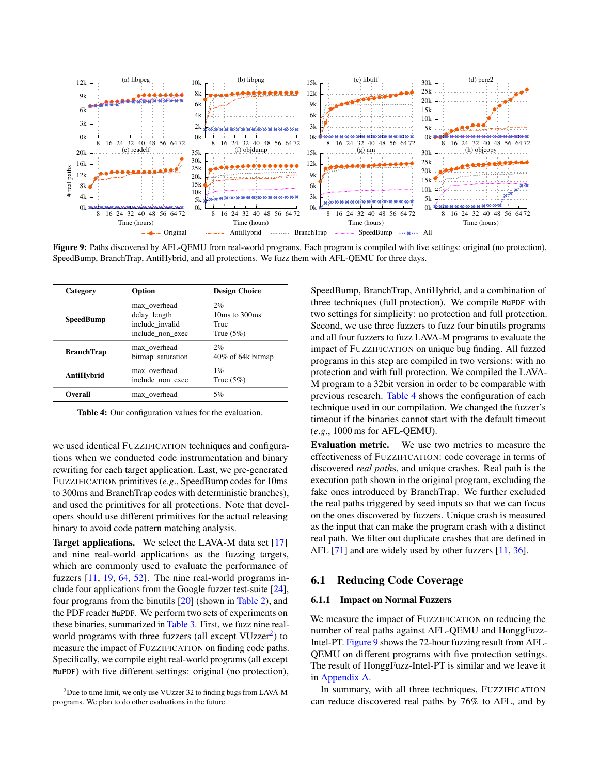<span id="page-9-3"></span>

Figure 9: Paths discovered by AFL-QEMU from real-world programs. Each program is compiled with five settings: original (no protection), SpeedBump, BranchTrap, AntiHybrid, and all protections. We fuzz them with AFL-QEMU for three days.

<span id="page-9-2"></span>

| Category                       | Option                                                              | <b>Design Choice</b>                        |
|--------------------------------|---------------------------------------------------------------------|---------------------------------------------|
| <b>SpeedBump</b>               | max overhead<br>delay_length<br>include invalid<br>include_non_exec | 2%<br>10ms to 300ms<br>True<br>True $(5\%)$ |
| <b>BranchTrap</b>              | max overhead<br>bitmap_saturation                                   | 2%<br>40% of 64k bitmap                     |
| AntiHybrid                     | max overhead<br>include non exec                                    | $1\%$<br>True $(5\%)$                       |
| <b>Overall</b><br>max_overhead |                                                                     | 5%                                          |

Table 4: Our configuration values for the evaluation.

we used identical FUZZIFICATION techniques and configurations when we conducted code instrumentation and binary rewriting for each target application. Last, we pre-generated FUZZIFICATION primitives (*e*.*g*., SpeedBump codes for 10ms to 300ms and BranchTrap codes with deterministic branches), and used the primitives for all protections. Note that developers should use different primitives for the actual releasing binary to avoid code pattern matching analysis.

Target applications. We select the LAVA-M data set [\[17\]](#page-14-17) and nine real-world applications as the fuzzing targets, which are commonly used to evaluate the performance of fuzzers [\[11,](#page-14-13) [19,](#page-14-12) [64,](#page-16-1) [52\]](#page-15-3). The nine real-world programs include four applications from the Google fuzzer test-suite [\[24\]](#page-14-18), four programs from the binutils [\[20\]](#page-14-19) (shown in [Table 2\)](#page-8-1), and the PDF reader MuPDF. We perform two sets of experiments on these binaries, summarized in [Table 3.](#page-8-2) First, we fuzz nine realworld programs with three fuzzers (all except  $VUzzer<sup>2</sup>$  $VUzzer<sup>2</sup>$  $VUzzer<sup>2</sup>$ ) to measure the impact of FUZZIFICATION on finding code paths. Specifically, we compile eight real-world programs (all except MuPDF) with five different settings: original (no protection), SpeedBump, BranchTrap, AntiHybrid, and a combination of three techniques (full protection). We compile MuPDF with two settings for simplicity: no protection and full protection. Second, we use three fuzzers to fuzz four binutils programs and all four fuzzers to fuzz LAVA-M programs to evaluate the impact of FUZZIFICATION on unique bug finding. All fuzzed programs in this step are compiled in two versions: with no protection and with full protection. We compiled the LAVA-M program to a 32bit version in order to be comparable with previous research. [Table 4](#page-9-2) shows the configuration of each technique used in our compilation. We changed the fuzzer's timeout if the binaries cannot start with the default timeout (*e*.*g*., 1000 ms for AFL-QEMU).

Evaluation metric. We use two metrics to measure the effectiveness of FUZZIFICATION: code coverage in terms of discovered *real path*s, and unique crashes. Real path is the execution path shown in the original program, excluding the fake ones introduced by BranchTrap. We further excluded the real paths triggered by seed inputs so that we can focus on the ones discovered by fuzzers. Unique crash is measured as the input that can make the program crash with a distinct real path. We filter out duplicate crashes that are defined in AFL [\[71\]](#page-16-8) and are widely used by other fuzzers [\[11,](#page-14-13) [36\]](#page-15-22).

# <span id="page-9-0"></span>6.1 Reducing Code Coverage

#### 6.1.1 Impact on Normal Fuzzers

We measure the impact of FUZZIFICATION on reducing the number of real paths against AFL-QEMU and HonggFuzz-Intel-PT. [Figure 9](#page-9-3) shows the 72-hour fuzzing result from AFL-QEMU on different programs with five protection settings. The result of HonggFuzz-Intel-PT is similar and we leave it in [Appendix A.](#page-16-9)

In summary, with all three techniques, FUZZIFICATION can reduce discovered real paths by 76% to AFL, and by

<span id="page-9-1"></span> $2$ Due to time limit, we only use VUzzer 32 to finding bugs from LAVA-M programs. We plan to do other evaluations in the future.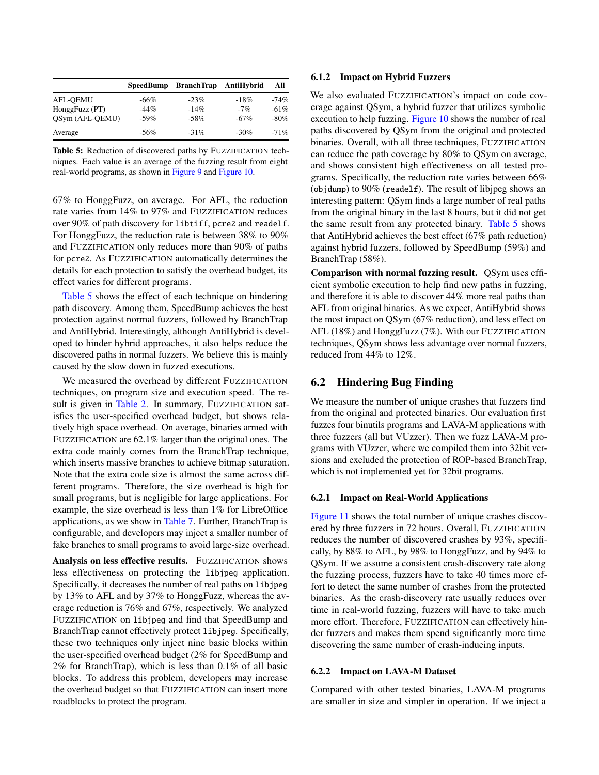<span id="page-10-1"></span>

|                 | SpeedBump | <b>BranchTrap</b> | AntiHybrid | All    |
|-----------------|-----------|-------------------|------------|--------|
| <b>AFL-OEMU</b> | $-66\%$   | $-23%$            | $-18%$     | $-74%$ |
| HonggFuzz (PT)  | $-44%$    | $-14%$            | $-7%$      | $-61%$ |
| QSym (AFL-QEMU) | $-59%$    | $-58%$            | $-67%$     | $-80%$ |
| Average         | -56%      | $-31\%$           | $-30\%$    | $-71%$ |

Table 5: Reduction of discovered paths by FUZZIFICATION techniques. Each value is an average of the fuzzing result from eight real-world programs, as shown in [Figure 9](#page-9-3) and [Figure 10.](#page-17-0)

67% to HonggFuzz, on average. For AFL, the reduction rate varies from 14% to 97% and FUZZIFICATION reduces over 90% of path discovery for libtiff, pcre2 and readelf. For HonggFuzz, the reduction rate is between 38% to 90% and FUZZIFICATION only reduces more than 90% of paths for pcre2. As FUZZIFICATION automatically determines the details for each protection to satisfy the overhead budget, its effect varies for different programs.

[Table 5](#page-10-1) shows the effect of each technique on hindering path discovery. Among them, SpeedBump achieves the best protection against normal fuzzers, followed by BranchTrap and AntiHybrid. Interestingly, although AntiHybrid is developed to hinder hybrid approaches, it also helps reduce the discovered paths in normal fuzzers. We believe this is mainly caused by the slow down in fuzzed executions.

We measured the overhead by different FUZZIFICATION techniques, on program size and execution speed. The re-sult is given in [Table 2.](#page-8-1) In summary, FUZZIFICATION satisfies the user-specified overhead budget, but shows relatively high space overhead. On average, binaries armed with FUZZIFICATION are 62.1% larger than the original ones. The extra code mainly comes from the BranchTrap technique, which inserts massive branches to achieve bitmap saturation. Note that the extra code size is almost the same across different programs. Therefore, the size overhead is high for small programs, but is negligible for large applications. For example, the size overhead is less than 1% for LibreOffice applications, as we show in [Table 7.](#page-11-2) Further, BranchTrap is configurable, and developers may inject a smaller number of fake branches to small programs to avoid large-size overhead.

Analysis on less effective results. FUZZIFICATION shows less effectiveness on protecting the libjpeg application. Specifically, it decreases the number of real paths on libjpeg by 13% to AFL and by 37% to HonggFuzz, whereas the average reduction is 76% and 67%, respectively. We analyzed FUZZIFICATION on libjpeg and find that SpeedBump and BranchTrap cannot effectively protect libjpeg. Specifically, these two techniques only inject nine basic blocks within the user-specified overhead budget (2% for SpeedBump and 2% for BranchTrap), which is less than 0.1% of all basic blocks. To address this problem, developers may increase the overhead budget so that FUZZIFICATION can insert more roadblocks to protect the program.

#### 6.1.2 Impact on Hybrid Fuzzers

We also evaluated FUZZIFICATION's impact on code coverage against QSym, a hybrid fuzzer that utilizes symbolic execution to help fuzzing. [Figure 10](#page-17-0) shows the number of real paths discovered by QSym from the original and protected binaries. Overall, with all three techniques, FUZZIFICATION can reduce the path coverage by 80% to QSym on average, and shows consistent high effectiveness on all tested programs. Specifically, the reduction rate varies between 66% (objdump) to  $90\%$  (readelf). The result of libjpeg shows an interesting pattern: QSym finds a large number of real paths from the original binary in the last 8 hours, but it did not get the same result from any protected binary. [Table 5](#page-10-1) shows that AntiHybrid achieves the best effect (67% path reduction) against hybrid fuzzers, followed by SpeedBump (59%) and BranchTrap (58%).

Comparison with normal fuzzing result. QSym uses efficient symbolic execution to help find new paths in fuzzing, and therefore it is able to discover 44% more real paths than AFL from original binaries. As we expect, AntiHybrid shows the most impact on QSym (67% reduction), and less effect on AFL (18%) and HonggFuzz (7%). With our FUZZIFICATION techniques, QSym shows less advantage over normal fuzzers, reduced from 44% to 12%.

# <span id="page-10-0"></span>6.2 Hindering Bug Finding

We measure the number of unique crashes that fuzzers find from the original and protected binaries. Our evaluation first fuzzes four binutils programs and LAVA-M applications with three fuzzers (all but VUzzer). Then we fuzz LAVA-M programs with VUzzer, where we compiled them into 32bit versions and excluded the protection of ROP-based BranchTrap, which is not implemented yet for 32bit programs.

#### 6.2.1 Impact on Real-World Applications

[Figure 11](#page-17-1) shows the total number of unique crashes discovered by three fuzzers in 72 hours. Overall, FUZZIFICATION reduces the number of discovered crashes by 93%, specifically, by 88% to AFL, by 98% to HonggFuzz, and by 94% to QSym. If we assume a consistent crash-discovery rate along the fuzzing process, fuzzers have to take 40 times more effort to detect the same number of crashes from the protected binaries. As the crash-discovery rate usually reduces over time in real-world fuzzing, fuzzers will have to take much more effort. Therefore, FUZZIFICATION can effectively hinder fuzzers and makes them spend significantly more time discovering the same number of crash-inducing inputs.

#### 6.2.2 Impact on LAVA-M Dataset

Compared with other tested binaries, LAVA-M programs are smaller in size and simpler in operation. If we inject a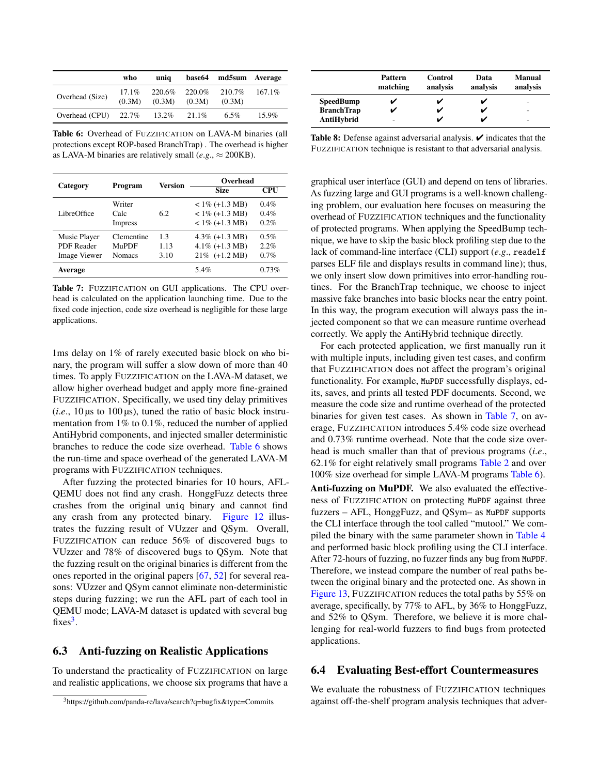<span id="page-11-3"></span>

|                         | who                | unia             |                  | base64 md5sum Average |        |
|-------------------------|--------------------|------------------|------------------|-----------------------|--------|
| Overhead (Size)         | $17.1\%$<br>(0.3M) | 220.6%<br>(0.3M) | 220.0%<br>(0.3M) | 210.7%<br>(0.3M)      | 167.1% |
| Overhead (CPU) $22.7\%$ |                    | 13.2%            | 21.1%            | 6.5%                  | 15.9%  |

Table 6: Overhead of FUZZIFICATION on LAVA-M binaries (all protections except ROP-based BranchTrap) . The overhead is higher as LAVA-M binaries are relatively small ( $e.g., \approx 200KB$ ).

<span id="page-11-2"></span>

|                   |               | Version | Overhead          |            |  |
|-------------------|---------------|---------|-------------------|------------|--|
| Category          | Program       |         | <b>Size</b>       | <b>CPU</b> |  |
|                   | Writer        |         | $< 1\% (+1.3 MB)$ | $0.4\%$    |  |
| LibreOffice       | Calc          | 62      | $< 1\% (+1.3 MB)$ | 0.4%       |  |
|                   | Impress       |         | $< 1\% (+1.3 MB)$ | 0.2%       |  |
| Music Player      | Clementine    | 13      | $4.3\%$ (+1.3 MB) | 0.5%       |  |
| <b>PDF</b> Reader | <b>MuPDF</b>  | 1.13    | $4.1\%$ (+1.3 MB) | 2.2%       |  |
| Image Viewer      | <b>Nomacs</b> | 3.10    | $21\%$ (+1.2 MB)  | 0.7%       |  |
| Average           |               |         | 5.4%              | 0.73%      |  |

Table 7: FUZZIFICATION on GUI applications. The CPU overhead is calculated on the application launching time. Due to the fixed code injection, code size overhead is negligible for these large applications.

1ms delay on 1% of rarely executed basic block on who binary, the program will suffer a slow down of more than 40 times. To apply FUZZIFICATION on the LAVA-M dataset, we allow higher overhead budget and apply more fine-grained FUZZIFICATION. Specifically, we used tiny delay primitives  $(i.e., 10 \,\mu s$  to  $100 \,\mu s$ , tuned the ratio of basic block instrumentation from 1% to 0.1%, reduced the number of applied AntiHybrid components, and injected smaller deterministic branches to reduce the code size overhead. [Table 6](#page-11-3) shows the run-time and space overhead of the generated LAVA-M programs with FUZZIFICATION techniques.

After fuzzing the protected binaries for 10 hours, AFL-QEMU does not find any crash. HonggFuzz detects three crashes from the original uniq binary and cannot find any crash from any protected binary. [Figure 12](#page-17-1) illustrates the fuzzing result of VUzzer and QSym. Overall, FUZZIFICATION can reduce 56% of discovered bugs to VUzzer and 78% of discovered bugs to QSym. Note that the fuzzing result on the original binaries is different from the ones reported in the original papers [\[67,](#page-16-2) [52\]](#page-15-3) for several reasons: VUzzer and QSym cannot eliminate non-deterministic steps during fuzzing; we run the AFL part of each tool in QEMU mode; LAVA-M dataset is updated with several bug fixes<sup>[3](#page-11-4)</sup>.

# <span id="page-11-1"></span>6.3 Anti-fuzzing on Realistic Applications

To understand the practicality of FUZZIFICATION on large and realistic applications, we choose six programs that have a

<span id="page-11-5"></span>

|                   | <b>Pattern</b><br>matching | Control<br>analysis | Data<br>analysis | Manual<br>analysis |
|-------------------|----------------------------|---------------------|------------------|--------------------|
| <b>SpeedBump</b>  |                            |                     |                  | -                  |
| <b>BranchTrap</b> |                            |                     |                  | -                  |
| AntiHybrid        | -                          |                     |                  | -                  |

Table 8: Defense against adversarial analysis.  $\boldsymbol{\checkmark}$  indicates that the FUZZIFICATION technique is resistant to that adversarial analysis.

graphical user interface (GUI) and depend on tens of libraries. As fuzzing large and GUI programs is a well-known challenging problem, our evaluation here focuses on measuring the overhead of FUZZIFICATION techniques and the functionality of protected programs. When applying the SpeedBump technique, we have to skip the basic block profiling step due to the lack of command-line interface (CLI) support (*e*.*g*., readelf parses ELF file and displays results in command line); thus, we only insert slow down primitives into error-handling routines. For the BranchTrap technique, we choose to inject massive fake branches into basic blocks near the entry point. In this way, the program execution will always pass the injected component so that we can measure runtime overhead correctly. We apply the AntiHybrid technique directly.

For each protected application, we first manually run it with multiple inputs, including given test cases, and confirm that FUZZIFICATION does not affect the program's original functionality. For example, MuPDF successfully displays, edits, saves, and prints all tested PDF documents. Second, we measure the code size and runtime overhead of the protected binaries for given test cases. As shown in [Table 7,](#page-11-2) on average, FUZZIFICATION introduces 5.4% code size overhead and 0.73% runtime overhead. Note that the code size overhead is much smaller than that of previous programs (*i*.*e*., 62.1% for eight relatively small programs [Table 2](#page-8-1) and over 100% size overhead for simple LAVA-M programs [Table 6\)](#page-11-3).

Anti-fuzzing on MuPDF. We also evaluated the effectiveness of FUZZIFICATION on protecting MuPDF against three fuzzers – AFL, HonggFuzz, and QSym– as MuPDF supports the CLI interface through the tool called "mutool." We compiled the binary with the same parameter shown in [Table 4](#page-9-2) and performed basic block profiling using the CLI interface. After 72-hours of fuzzing, no fuzzer finds any bug from MuPDF. Therefore, we instead compare the number of real paths between the original binary and the protected one. As shown in [Figure 13,](#page-12-0) FUZZIFICATION reduces the total paths by 55% on average, specifically, by 77% to AFL, by 36% to HonggFuzz, and 52% to QSym. Therefore, we believe it is more challenging for real-world fuzzers to find bugs from protected applications.

# <span id="page-11-0"></span>6.4 Evaluating Best-effort Countermeasures

We evaluate the robustness of FUZZIFICATION techniques against off-the-shelf program analysis techniques that adver-

<span id="page-11-4"></span><sup>3</sup>https://github.com/panda-re/lava/search?q=bugfix&type=Commits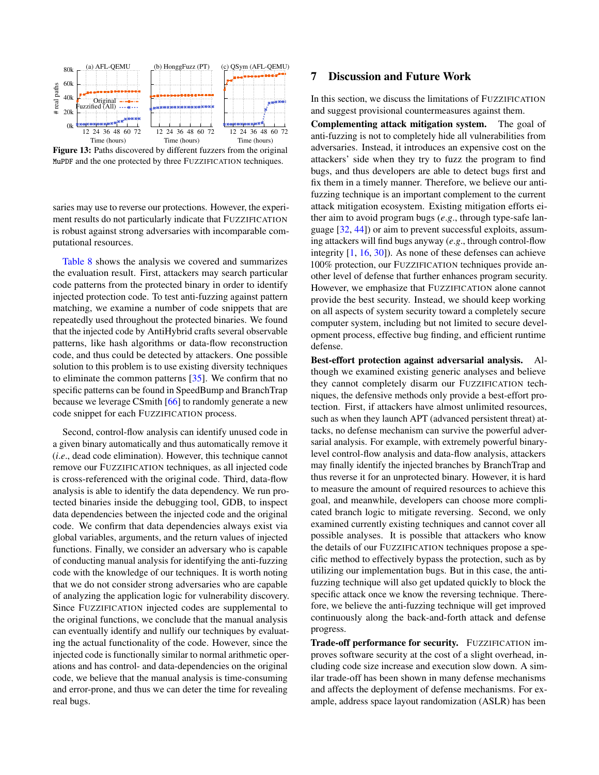<span id="page-12-0"></span>

Figure 13: Paths discovered by different fuzzers from the original MuPDF and the one protected by three FUZZIFICATION techniques.

saries may use to reverse our protections. However, the experiment results do not particularly indicate that FUZZIFICATION is robust against strong adversaries with incomparable computational resources.

[Table 8](#page-11-5) shows the analysis we covered and summarizes the evaluation result. First, attackers may search particular code patterns from the protected binary in order to identify injected protection code. To test anti-fuzzing against pattern matching, we examine a number of code snippets that are repeatedly used throughout the protected binaries. We found that the injected code by AntiHybrid crafts several observable patterns, like hash algorithms or data-flow reconstruction code, and thus could be detected by attackers. One possible solution to this problem is to use existing diversity techniques to eliminate the common patterns [\[35\]](#page-15-11). We confirm that no specific patterns can be found in SpeedBump and BranchTrap because we leverage CSmith [\[66\]](#page-16-7) to randomly generate a new code snippet for each FUZZIFICATION process.

Second, control-flow analysis can identify unused code in a given binary automatically and thus automatically remove it (*i*.*e*., dead code elimination). However, this technique cannot remove our FUZZIFICATION techniques, as all injected code is cross-referenced with the original code. Third, data-flow analysis is able to identify the data dependency. We run protected binaries inside the debugging tool, GDB, to inspect data dependencies between the injected code and the original code. We confirm that data dependencies always exist via global variables, arguments, and the return values of injected functions. Finally, we consider an adversary who is capable of conducting manual analysis for identifying the anti-fuzzing code with the knowledge of our techniques. It is worth noting that we do not consider strong adversaries who are capable of analyzing the application logic for vulnerability discovery. Since FUZZIFICATION injected codes are supplemental to the original functions, we conclude that the manual analysis can eventually identify and nullify our techniques by evaluating the actual functionality of the code. However, since the injected code is functionally similar to normal arithmetic operations and has control- and data-dependencies on the original code, we believe that the manual analysis is time-consuming and error-prone, and thus we can deter the time for revealing real bugs.

# 7 Discussion and Future Work

In this section, we discuss the limitations of FUZZIFICATION and suggest provisional countermeasures against them.

Complementing attack mitigation system. The goal of anti-fuzzing is not to completely hide all vulnerabilities from adversaries. Instead, it introduces an expensive cost on the attackers' side when they try to fuzz the program to find bugs, and thus developers are able to detect bugs first and fix them in a timely manner. Therefore, we believe our antifuzzing technique is an important complement to the current attack mitigation ecosystem. Existing mitigation efforts either aim to avoid program bugs (*e*.*g*., through type-safe language [\[32,](#page-15-23) [44\]](#page-15-24)) or aim to prevent successful exploits, assuming attackers will find bugs anyway (*e*.*g*., through control-flow integrity [\[1,](#page-14-20) [16,](#page-14-21) [30\]](#page-15-25)). As none of these defenses can achieve 100% protection, our FUZZIFICATION techniques provide another level of defense that further enhances program security. However, we emphasize that FUZZIFICATION alone cannot provide the best security. Instead, we should keep working on all aspects of system security toward a completely secure computer system, including but not limited to secure development process, effective bug finding, and efficient runtime defense.

Best-effort protection against adversarial analysis. Although we examined existing generic analyses and believe they cannot completely disarm our FUZZIFICATION techniques, the defensive methods only provide a best-effort protection. First, if attackers have almost unlimited resources, such as when they launch APT (advanced persistent threat) attacks, no defense mechanism can survive the powerful adversarial analysis. For example, with extremely powerful binarylevel control-flow analysis and data-flow analysis, attackers may finally identify the injected branches by BranchTrap and thus reverse it for an unprotected binary. However, it is hard to measure the amount of required resources to achieve this goal, and meanwhile, developers can choose more complicated branch logic to mitigate reversing. Second, we only examined currently existing techniques and cannot cover all possible analyses. It is possible that attackers who know the details of our FUZZIFICATION techniques propose a specific method to effectively bypass the protection, such as by utilizing our implementation bugs. But in this case, the antifuzzing technique will also get updated quickly to block the specific attack once we know the reversing technique. Therefore, we believe the anti-fuzzing technique will get improved continuously along the back-and-forth attack and defense progress.

Trade-off performance for security. FUZZIFICATION improves software security at the cost of a slight overhead, including code size increase and execution slow down. A similar trade-off has been shown in many defense mechanisms and affects the deployment of defense mechanisms. For example, address space layout randomization (ASLR) has been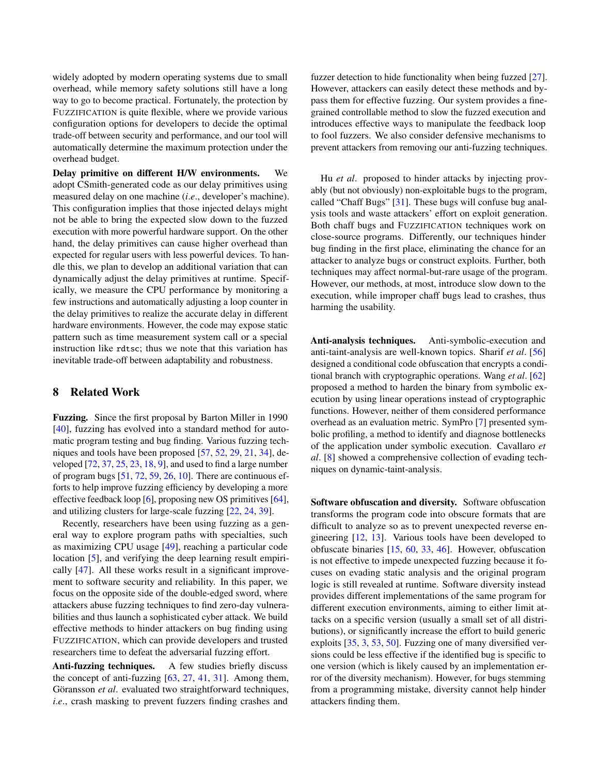widely adopted by modern operating systems due to small overhead, while memory safety solutions still have a long way to go to become practical. Fortunately, the protection by FUZZIFICATION is quite flexible, where we provide various configuration options for developers to decide the optimal trade-off between security and performance, and our tool will automatically determine the maximum protection under the overhead budget.

Delay primitive on different H/W environments. We adopt CSmith-generated code as our delay primitives using measured delay on one machine (*i*.*e*., developer's machine). This configuration implies that those injected delays might not be able to bring the expected slow down to the fuzzed execution with more powerful hardware support. On the other hand, the delay primitives can cause higher overhead than expected for regular users with less powerful devices. To handle this, we plan to develop an additional variation that can dynamically adjust the delay primitives at runtime. Specifically, we measure the CPU performance by monitoring a few instructions and automatically adjusting a loop counter in the delay primitives to realize the accurate delay in different hardware environments. However, the code may expose static pattern such as time measurement system call or a special instruction like rdtsc; thus we note that this variation has inevitable trade-off between adaptability and robustness.

# 8 Related Work

Fuzzing. Since the first proposal by Barton Miller in 1990 [\[40\]](#page-15-0), fuzzing has evolved into a standard method for automatic program testing and bug finding. Various fuzzing techniques and tools have been proposed [\[57,](#page-15-2) [52,](#page-15-3) [29,](#page-14-4) [21,](#page-14-22) [34\]](#page-15-4), developed [\[72,](#page-16-0) [37,](#page-15-1) [25,](#page-14-0) [23,](#page-14-1) [18,](#page-14-2) [9\]](#page-14-3), and used to find a large number of program bugs [\[51,](#page-15-5) [72,](#page-16-0) [59,](#page-15-6) [26,](#page-14-6) [10\]](#page-14-7). There are continuous efforts to help improve fuzzing efficiency by developing a more effective feedback loop [\[6\]](#page-14-5), proposing new OS primitives [\[64\]](#page-16-1), and utilizing clusters for large-scale fuzzing [\[22,](#page-14-23) [24,](#page-14-18) [39\]](#page-15-26).

Recently, researchers have been using fuzzing as a general way to explore program paths with specialties, such as maximizing CPU usage [\[49\]](#page-15-27), reaching a particular code location [\[5\]](#page-14-24), and verifying the deep learning result empirically [\[47\]](#page-15-28). All these works result in a significant improvement to software security and reliability. In this paper, we focus on the opposite side of the double-edged sword, where attackers abuse fuzzing techniques to find zero-day vulnerabilities and thus launch a sophisticated cyber attack. We build effective methods to hinder attackers on bug finding using FUZZIFICATION, which can provide developers and trusted researchers time to defeat the adversarial fuzzing effort.

Anti-fuzzing techniques. A few studies briefly discuss the concept of anti-fuzzing  $[63, 27, 41, 31]$  $[63, 27, 41, 31]$  $[63, 27, 41, 31]$  $[63, 27, 41, 31]$  $[63, 27, 41, 31]$  $[63, 27, 41, 31]$  $[63, 27, 41, 31]$ . Among them, Göransson *et al*. evaluated two straightforward techniques, *i.e.*, crash masking to prevent fuzzers finding crashes and

fuzzer detection to hide functionality when being fuzzed [\[27\]](#page-14-25). However, attackers can easily detect these methods and bypass them for effective fuzzing. Our system provides a finegrained controllable method to slow the fuzzed execution and introduces effective ways to manipulate the feedback loop to fool fuzzers. We also consider defensive mechanisms to prevent attackers from removing our anti-fuzzing techniques.

Hu *et al*. proposed to hinder attacks by injecting provably (but not obviously) non-exploitable bugs to the program, called "Chaff Bugs" [\[31\]](#page-15-17). These bugs will confuse bug analysis tools and waste attackers' effort on exploit generation. Both chaff bugs and FUZZIFICATION techniques work on close-source programs. Differently, our techniques hinder bug finding in the first place, eliminating the chance for an attacker to analyze bugs or construct exploits. Further, both techniques may affect normal-but-rare usage of the program. However, our methods, at most, introduce slow down to the execution, while improper chaff bugs lead to crashes, thus harming the usability.

Anti-analysis techniques. Anti-symbolic-execution and anti-taint-analysis are well-known topics. Sharif *et al*. [\[56\]](#page-15-31) designed a conditional code obfuscation that encrypts a conditional branch with cryptographic operations. Wang *et al*. [\[62\]](#page-15-32) proposed a method to harden the binary from symbolic execution by using linear operations instead of cryptographic functions. However, neither of them considered performance overhead as an evaluation metric. SymPro [\[7\]](#page-14-26) presented symbolic profiling, a method to identify and diagnose bottlenecks of the application under symbolic execution. Cavallaro *et al*. [\[8\]](#page-14-27) showed a comprehensive collection of evading techniques on dynamic-taint-analysis.

Software obfuscation and diversity. Software obfuscation transforms the program code into obscure formats that are difficult to analyze so as to prevent unexpected reverse engineering [\[12,](#page-14-9) [13\]](#page-14-10). Various tools have been developed to obfuscate binaries [\[15,](#page-14-28) [60,](#page-15-9) [33,](#page-15-10) [46\]](#page-15-33). However, obfuscation is not effective to impede unexpected fuzzing because it focuses on evading static analysis and the original program logic is still revealed at runtime. Software diversity instead provides different implementations of the same program for different execution environments, aiming to either limit attacks on a specific version (usually a small set of all distributions), or significantly increase the effort to build generic exploits [\[35,](#page-15-11) [3,](#page-14-11) [53,](#page-15-12) [50\]](#page-15-13). Fuzzing one of many diversified versions could be less effective if the identified bug is specific to one version (which is likely caused by an implementation error of the diversity mechanism). However, for bugs stemming from a programming mistake, diversity cannot help hinder attackers finding them.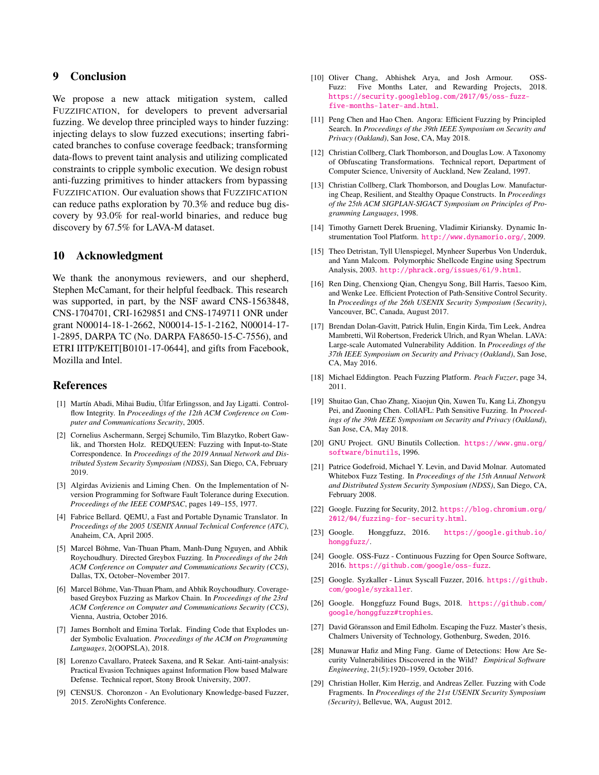# 9 Conclusion

We propose a new attack mitigation system, called FUZZIFICATION, for developers to prevent adversarial fuzzing. We develop three principled ways to hinder fuzzing: injecting delays to slow fuzzed executions; inserting fabricated branches to confuse coverage feedback; transforming data-flows to prevent taint analysis and utilizing complicated constraints to cripple symbolic execution. We design robust anti-fuzzing primitives to hinder attackers from bypassing FUZZIFICATION. Our evaluation shows that FUZZIFICATION can reduce paths exploration by 70.3% and reduce bug discovery by 93.0% for real-world binaries, and reduce bug discovery by 67.5% for LAVA-M dataset.

### 10 Acknowledgment

We thank the anonymous reviewers, and our shepherd, Stephen McCamant, for their helpful feedback. This research was supported, in part, by the NSF award CNS-1563848, CNS-1704701, CRI-1629851 and CNS-1749711 ONR under grant N00014-18-1-2662, N00014-15-1-2162, N00014-17- 1-2895, DARPA TC (No. DARPA FA8650-15-C-7556), and ETRI IITP/KEIT[B0101-17-0644], and gifts from Facebook, Mozilla and Intel.

# References

- <span id="page-14-20"></span>[1] Martín Abadi, Mihai Budiu, Úlfar Erlingsson, and Jay Ligatti. Controlflow Integrity. In *Proceedings of the 12th ACM Conference on Computer and Communications Security*, 2005.
- <span id="page-14-16"></span>[2] Cornelius Aschermann, Sergej Schumilo, Tim Blazytko, Robert Gawlik, and Thorsten Holz. REDQUEEN: Fuzzing with Input-to-State Correspondence. In *Proceedings of the 2019 Annual Network and Distributed System Security Symposium (NDSS)*, San Diego, CA, February 2019.
- <span id="page-14-11"></span>[3] Algirdas Avizienis and Liming Chen. On the Implementation of Nversion Programming for Software Fault Tolerance during Execution. *Proceedings of the IEEE COMPSAC*, pages 149–155, 1977.
- <span id="page-14-14"></span>[4] Fabrice Bellard. QEMU, a Fast and Portable Dynamic Translator. In *Proceedings of the 2005 USENIX Annual Technical Conference (ATC)*, Anaheim, CA, April 2005.
- <span id="page-14-24"></span>[5] Marcel Böhme, Van-Thuan Pham, Manh-Dung Nguyen, and Abhik Roychoudhury. Directed Greybox Fuzzing. In *Proceedings of the 24th ACM Conference on Computer and Communications Security (CCS)*, Dallas, TX, October–November 2017.
- <span id="page-14-5"></span>[6] Marcel Böhme, Van-Thuan Pham, and Abhik Roychoudhury. Coveragebased Greybox Fuzzing as Markov Chain. In *Proceedings of the 23rd ACM Conference on Computer and Communications Security (CCS)*, Vienna, Austria, October 2016.
- <span id="page-14-26"></span>[7] James Bornholt and Emina Torlak. Finding Code that Explodes under Symbolic Evaluation. *Proceedings of the ACM on Programming Languages*, 2(OOPSLA), 2018.
- <span id="page-14-27"></span>[8] Lorenzo Cavallaro, Prateek Saxena, and R Sekar. Anti-taint-analysis: Practical Evasion Techniques against Information Flow based Malware Defense. Technical report, Stony Brook University, 2007.
- <span id="page-14-3"></span>[9] CENSUS. Choronzon - An Evolutionary Knowledge-based Fuzzer, 2015. ZeroNights Conference.
- <span id="page-14-7"></span>[10] Oliver Chang, Abhishek Arya, and Josh Armour. OSS-Fuzz: Five Months Later, and Rewarding Projects, 2018. [https://security.googleblog.com/2017/05/oss-fuzz](https://security.googleblog.com/2017/05/oss-fuzz-five-months-later-and.html)[five-months-later-and.html](https://security.googleblog.com/2017/05/oss-fuzz-five-months-later-and.html).
- <span id="page-14-13"></span>[11] Peng Chen and Hao Chen. Angora: Efficient Fuzzing by Principled Search. In *Proceedings of the 39th IEEE Symposium on Security and Privacy (Oakland)*, San Jose, CA, May 2018.
- <span id="page-14-9"></span>[12] Christian Collberg, Clark Thomborson, and Douglas Low. A Taxonomy of Obfuscating Transformations. Technical report, Department of Computer Science, University of Auckland, New Zealand, 1997.
- <span id="page-14-10"></span>[13] Christian Collberg, Clark Thomborson, and Douglas Low. Manufacturing Cheap, Resilient, and Stealthy Opaque Constructs. In *Proceedings of the 25th ACM SIGPLAN-SIGACT Symposium on Principles of Programming Languages*, 1998.
- <span id="page-14-15"></span>[14] Timothy Garnett Derek Bruening, Vladimir Kiriansky. Dynamic Instrumentation Tool Platform. <http://www.dynamorio.org/>, 2009.
- <span id="page-14-28"></span>[15] Theo Detristan, Tyll Ulenspiegel, Mynheer Superbus Von Underduk, and Yann Malcom. Polymorphic Shellcode Engine using Spectrum Analysis, 2003. <http://phrack.org/issues/61/9.html>.
- <span id="page-14-21"></span>[16] Ren Ding, Chenxiong Qian, Chengyu Song, Bill Harris, Taesoo Kim, and Wenke Lee. Efficient Protection of Path-Sensitive Control Security. In *Proceedings of the 26th USENIX Security Symposium (Security)*, Vancouver, BC, Canada, August 2017.
- <span id="page-14-17"></span>[17] Brendan Dolan-Gavitt, Patrick Hulin, Engin Kirda, Tim Leek, Andrea Mambretti, Wil Robertson, Frederick Ulrich, and Ryan Whelan. LAVA: Large-scale Automated Vulnerability Addition. In *Proceedings of the 37th IEEE Symposium on Security and Privacy (Oakland)*, San Jose, CA, May 2016.
- <span id="page-14-2"></span>[18] Michael Eddington. Peach Fuzzing Platform. *Peach Fuzzer*, page 34, 2011.
- <span id="page-14-12"></span>[19] Shuitao Gan, Chao Zhang, Xiaojun Qin, Xuwen Tu, Kang Li, Zhongyu Pei, and Zuoning Chen. CollAFL: Path Sensitive Fuzzing. In *Proceedings of the 39th IEEE Symposium on Security and Privacy (Oakland)*, San Jose, CA, May 2018.
- <span id="page-14-19"></span>[20] GNU Project. GNU Binutils Collection. [https://www.gnu.org/](https://www.gnu.org/software/binutils) [software/binutils](https://www.gnu.org/software/binutils), 1996.
- <span id="page-14-22"></span>[21] Patrice Godefroid, Michael Y. Levin, and David Molnar. Automated Whitebox Fuzz Testing. In *Proceedings of the 15th Annual Network and Distributed System Security Symposium (NDSS)*, San Diego, CA, February 2008.
- <span id="page-14-23"></span>[22] Google. Fuzzing for Security, 2012. [https://blog.chromium.org/](https://blog.chromium.org/2012/04/fuzzing-for-security.html) [2012/04/fuzzing-for-security.html](https://blog.chromium.org/2012/04/fuzzing-for-security.html).
- <span id="page-14-1"></span>[23] Google. Honggfuzz, 2016. [https://google.github.io/](https://google.github.io/honggfuzz/) [honggfuzz/](https://google.github.io/honggfuzz/).
- <span id="page-14-18"></span>[24] Google. OSS-Fuzz - Continuous Fuzzing for Open Source Software, 2016. <https://github.com/google/oss-fuzz>.
- <span id="page-14-0"></span>[25] Google. Syzkaller - Linux Syscall Fuzzer, 2016. [https://github.](https://github.com/google/syzkaller) [com/google/syzkaller](https://github.com/google/syzkaller).
- <span id="page-14-6"></span>[26] Google. Honggfuzz Found Bugs, 2018. [https://github.com/](https://github.com/google/honggfuzz#trophies) [google/honggfuzz#trophies](https://github.com/google/honggfuzz#trophies).
- <span id="page-14-25"></span>[27] David Göransson and Emil Edholm. Escaping the Fuzz. Master's thesis, Chalmers University of Technology, Gothenburg, Sweden, 2016.
- <span id="page-14-8"></span>[28] Munawar Hafiz and Ming Fang. Game of Detections: How Are Security Vulnerabilities Discovered in the Wild? *Empirical Software Engineering*, 21(5):1920–1959, October 2016.
- <span id="page-14-4"></span>[29] Christian Holler, Kim Herzig, and Andreas Zeller. Fuzzing with Code Fragments. In *Proceedings of the 21st USENIX Security Symposium (Security)*, Bellevue, WA, August 2012.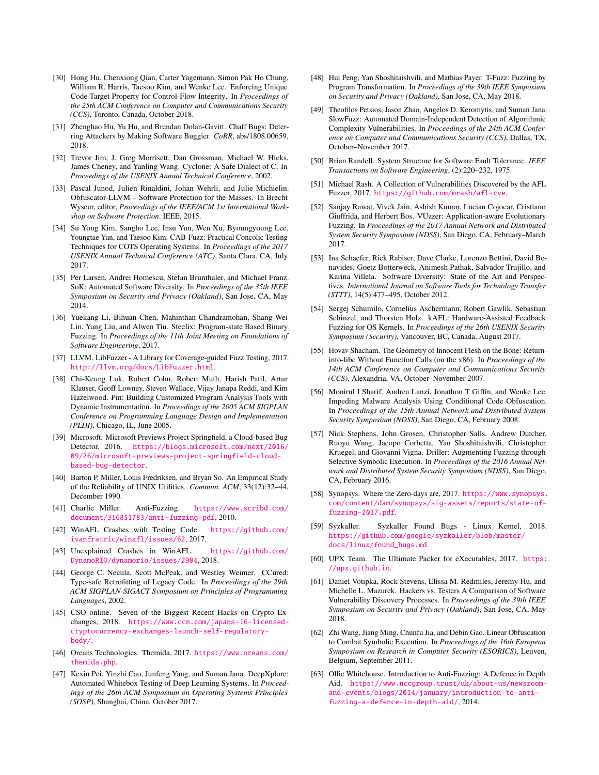- <span id="page-15-25"></span>[30] Hong Hu, Chenxiong Qian, Carter Yagemann, Simon Pak Ho Chung, William R. Harris, Taesoo Kim, and Wenke Lee. Enforcing Unique Code Target Property for Control-Flow Integrity. In *Proceedings of the 25th ACM Conference on Computer and Communications Security (CCS)*, Toronto, Canada, October 2018.
- <span id="page-15-17"></span>[31] Zhenghao Hu, Yu Hu, and Brendan Dolan-Gavitt. Chaff Bugs: Deterring Attackers by Making Software Buggier. *CoRR*, abs/1808.00659, 2018.
- <span id="page-15-23"></span>[32] Trevor Jim, J. Greg Morrisett, Dan Grossman, Michael W. Hicks, James Cheney, and Yanling Wang. Cyclone: A Safe Dialect of C. In *Proceedings of the USENIX Annual Technical Conference*, 2002.
- <span id="page-15-10"></span>[33] Pascal Junod, Julien Rinaldini, Johan Wehrli, and Julie Michielin. Obfuscator-LLVM – Software Protection for the Masses. In Brecht Wyseur, editor, *Proceedings of the IEEE/ACM 1st International Workshop on Software Protection*. IEEE, 2015.
- <span id="page-15-4"></span>[34] Su Yong Kim, Sangho Lee, Insu Yun, Wen Xu, Byoungyoung Lee, Youngtae Yun, and Taesoo Kim. CAB-Fuzz: Practical Concolic Testing Techniques for COTS Operating Systems. In *Proceedings of the 2017 USENIX Annual Technical Conference (ATC)*, Santa Clara, CA, July 2017.
- <span id="page-15-11"></span>[35] Per Larsen, Andrei Homescu, Stefan Brunthaler, and Michael Franz. SoK: Automated Software Diversity. In *Proceedings of the 35th IEEE Symposium on Security and Privacy (Oakland)*, San Jose, CA, May 2014.
- <span id="page-15-22"></span>[36] Yuekang Li, Bihuan Chen, Mahinthan Chandramohan, Shang-Wei Lin, Yang Liu, and Alwen Tiu. Steelix: Program-state Based Binary Fuzzing. In *Proceedings of the 11th Joint Meeting on Foundations of Software Engineering*, 2017.
- <span id="page-15-1"></span>[37] LLVM. LibFuzzer - A Library for Coverage-guided Fuzz Testing, 2017. <http://llvm.org/docs/LibFuzzer.html>.
- <span id="page-15-18"></span>[38] Chi-Keung Luk, Robert Cohn, Robert Muth, Harish Patil, Artur Klauser, Geoff Lowney, Steven Wallace, Vijay Janapa Reddi, and Kim Hazelwood. Pin: Building Customized Program Analysis Tools with Dynamic Instrumentation. In *Proceedings of the 2005 ACM SIGPLAN Conference on Programming Language Design and Implementation (PLDI)*, Chicago, IL, June 2005.
- <span id="page-15-26"></span>[39] Microsoft. Microsoft Previews Project Springfield, a Cloud-based Bug Detector, 2016. [https://blogs.microsoft.com/next/2016/](https://blogs.microsoft.com/next/2016/09/26/microsoft-previews-project-springfield-cloud-based-bug-detector) [09/26/microsoft-previews-project-springfield-cloud](https://blogs.microsoft.com/next/2016/09/26/microsoft-previews-project-springfield-cloud-based-bug-detector)[based-bug-detector](https://blogs.microsoft.com/next/2016/09/26/microsoft-previews-project-springfield-cloud-based-bug-detector).
- <span id="page-15-0"></span>[40] Barton P. Miller, Louis Fredriksen, and Bryan So. An Empirical Study of the Reliability of UNIX Utilities. *Commun. ACM*, 33(12):32–44, December 1990.
- <span id="page-15-30"></span>[41] Charlie Miller. Anti-Fuzzing. [https://www.scribd.com/](https://www.scribd.com/document/316851783/anti-fuzzing-pdf) [document/316851783/anti-fuzzing-pdf](https://www.scribd.com/document/316851783/anti-fuzzing-pdf), 2010.
- <span id="page-15-19"></span>[42] WinAFL Crashes with Testing Code. [https://github.com/](https://github.com/ivanfratric/winafl/issues/62) [ivanfratric/winafl/issues/62](https://github.com/ivanfratric/winafl/issues/62), 2017.
- <span id="page-15-20"></span>[43] Unexplained Crashes in WinAFL. [https://github.com/](https://github.com/DynamoRIO/dynamorio/issues/2904) [DynamoRIO/dynamorio/issues/2904](https://github.com/DynamoRIO/dynamorio/issues/2904), 2018.
- <span id="page-15-24"></span>[44] George C. Necula, Scott McPeak, and Westley Weimer. CCured: Type-safe Retrofitting of Legacy Code. In *Proceedings of the 29th ACM SIGPLAN-SIGACT Symposium on Principles of Programming Languages*, 2002.
- <span id="page-15-16"></span>[45] CSO online. Seven of the Biggest Recent Hacks on Crypto Exchanges, 2018. [https://www.ccn.com/japans-16-licensed](https://www.ccn.com/japans-16-licensed-cryptocurrency-exchanges-launch-self-regulatory-body/)[cryptocurrency-exchanges-launch-self-regulatory](https://www.ccn.com/japans-16-licensed-cryptocurrency-exchanges-launch-self-regulatory-body/)[body/](https://www.ccn.com/japans-16-licensed-cryptocurrency-exchanges-launch-self-regulatory-body/).
- <span id="page-15-33"></span>[46] Oreans Technologies. Themida, 2017. [https://www.oreans.com/](https://www.oreans.com/themida.php) [themida.php](https://www.oreans.com/themida.php).
- <span id="page-15-28"></span>[47] Kexin Pei, Yinzhi Cao, Junfeng Yang, and Suman Jana. DeepXplore: Automated Whitebox Testing of Deep Learning Systems. In *Proceedings of the 26th ACM Symposium on Operating Systems Principles (SOSP)*, Shanghai, China, October 2017.
- <span id="page-15-14"></span>[48] Hui Peng, Yan Shoshitaishvili, and Mathias Payer. T-Fuzz: Fuzzing by Program Transformation. In *Proceedings of the 39th IEEE Symposium on Security and Privacy (Oakland)*, San Jose, CA, May 2018.
- <span id="page-15-27"></span>[49] Theofilos Petsios, Jason Zhao, Angelos D. Keromytis, and Suman Jana. SlowFuzz: Automated Domain-Independent Detection of Algorithmic Complexity Vulnerabilities. In *Proceedings of the 24th ACM Conference on Computer and Communications Security (CCS)*, Dallas, TX, October–November 2017.
- <span id="page-15-13"></span>[50] Brian Randell. System Structure for Software Fault Tolerance. *IEEE Transactions on Software Engineering*, (2):220–232, 1975.
- <span id="page-15-5"></span>[51] Michael Rash. A Collection of Vulnerabilities Discovered by the AFL Fuzzer, 2017. <https://github.com/mrash/afl-cve>.
- <span id="page-15-3"></span>[52] Sanjay Rawat, Vivek Jain, Ashish Kumar, Lucian Cojocar, Cristiano Giuffrida, and Herbert Bos. VUzzer: Application-aware Evolutionary Fuzzing. In *Proceedings of the 2017 Annual Network and Distributed System Security Symposium (NDSS)*, San Diego, CA, February–March 2017.
- <span id="page-15-12"></span>[53] Ina Schaefer, Rick Rabiser, Dave Clarke, Lorenzo Bettini, David Benavides, Goetz Botterweck, Animesh Pathak, Salvador Trujillo, and Karina Villela. Software Diversity: State of the Art and Perspectives. *International Journal on Software Tools for Technology Transfer (STTT)*, 14(5):477–495, October 2012.
- <span id="page-15-15"></span>[54] Sergej Schumilo, Cornelius Aschermann, Robert Gawlik, Sebastian Schinzel, and Thorsten Holz. kAFL: Hardware-Assisted Feedback Fuzzing for OS Kernels. In *Proceedings of the 26th USENIX Security Symposium (Security)*, Vancouver, BC, Canada, August 2017.
- <span id="page-15-21"></span>[55] Hovav Shacham. The Geometry of Innocent Flesh on the Bone: Returninto-libc Without Function Calls (on the x86). In *Proceedings of the 14th ACM Conference on Computer and Communications Security (CCS)*, Alexandria, VA, October–November 2007.
- <span id="page-15-31"></span>[56] Monirul I Sharif, Andrea Lanzi, Jonathon T Giffin, and Wenke Lee. Impeding Malware Analysis Using Conditional Code Obfuscation. In *Proceedings of the 15th Annual Network and Distributed System Security Symposium (NDSS)*, San Diego, CA, February 2008.
- <span id="page-15-2"></span>[57] Nick Stephens, John Grosen, Christopher Salls, Andrew Dutcher, Ruoyu Wang, Jacopo Corbetta, Yan Shoshitaishvili, Christopher Kruegel, and Giovanni Vigna. Driller: Augmenting Fuzzing through Selective Symbolic Execution. In *Proceedings of the 2016 Annual Network and Distributed System Security Symposium (NDSS)*, San Diego, CA, February 2016.
- <span id="page-15-8"></span>[58] Synopsys. Where the Zero-days are, 2017. [https://www.synopsys.](https://www.synopsys.com/content/dam/synopsys/sig-assets/reports/state-of-fuzzing-2017.pdf) [com/content/dam/synopsys/sig-assets/reports/state-of](https://www.synopsys.com/content/dam/synopsys/sig-assets/reports/state-of-fuzzing-2017.pdf)[fuzzing-2017.pdf](https://www.synopsys.com/content/dam/synopsys/sig-assets/reports/state-of-fuzzing-2017.pdf).
- <span id="page-15-6"></span>[59] Syzkaller. Syzkaller Found Bugs - Linux Kernel, 2018. [https://github.com/google/syzkaller/blob/master/](https://github.com/google/syzkaller/blob/master/docs/linux/found_bugs.md) [docs/linux/found\\_bugs.md](https://github.com/google/syzkaller/blob/master/docs/linux/found_bugs.md).
- <span id="page-15-9"></span>[60] UPX Team. The Ultimate Packer for eXecutables, 2017. [https:](https://upx.github.io) [//upx.github.io](https://upx.github.io).
- <span id="page-15-7"></span>[61] Daniel Votipka, Rock Stevens, Elissa M. Redmiles, Jeremy Hu, and Michelle L. Mazurek. Hackers vs. Testers A Comparison of Software Vulnerability Discovery Processes. In *Proceedings of the 39th IEEE Symposium on Security and Privacy (Oakland)*, San Jose, CA, May 2018.
- <span id="page-15-32"></span>[62] Zhi Wang, Jiang Ming, Chunfu Jia, and Debin Gao. Linear Obfuscation to Combat Symbolic Execution. In *Proceedings of the 16th European Symposium on Research in Computer Security (ESORICS)*, Leuven, Belgium, September 2011.
- <span id="page-15-29"></span>[63] Ollie Whitehouse. Introduction to Anti-Fuzzing: A Defence in Depth Aid. [https://www.nccgroup.trust/uk/about-us/newsroom](https://www.nccgroup.trust/uk/about-us/newsroom-and-events/blogs/2014/january/introduction-to-anti-fuzzing-a-defence-in-depth-aid/)[and-events/blogs/2014/january/introduction-to-anti](https://www.nccgroup.trust/uk/about-us/newsroom-and-events/blogs/2014/january/introduction-to-anti-fuzzing-a-defence-in-depth-aid/)[fuzzing-a-defence-in-depth-aid/](https://www.nccgroup.trust/uk/about-us/newsroom-and-events/blogs/2014/january/introduction-to-anti-fuzzing-a-defence-in-depth-aid/), 2014.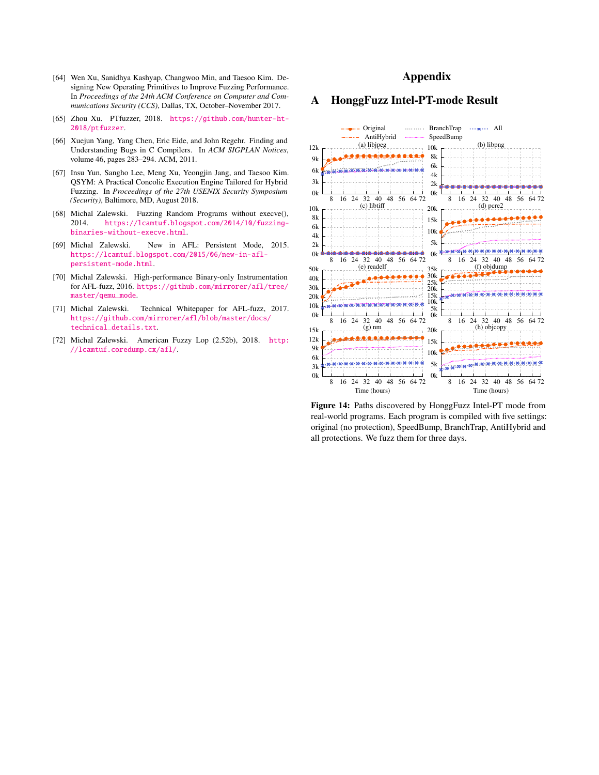- <span id="page-16-1"></span>[64] Wen Xu, Sanidhya Kashyap, Changwoo Min, and Taesoo Kim. Designing New Operating Primitives to Improve Fuzzing Performance. In *Proceedings of the 24th ACM Conference on Computer and Communications Security (CCS)*, Dallas, TX, October–November 2017.
- <span id="page-16-5"></span>[65] Zhou Xu. PTfuzzer, 2018. [https://github.com/hunter-ht-](https://github.com/hunter-ht-2018/ptfuzzer)[2018/ptfuzzer](https://github.com/hunter-ht-2018/ptfuzzer).
- <span id="page-16-7"></span>[66] Xuejun Yang, Yang Chen, Eric Eide, and John Regehr. Finding and Understanding Bugs in C Compilers. In *ACM SIGPLAN Notices*, volume 46, pages 283–294. ACM, 2011.
- <span id="page-16-2"></span>[67] Insu Yun, Sangho Lee, Meng Xu, Yeongjin Jang, and Taesoo Kim. QSYM: A Practical Concolic Execution Engine Tailored for Hybrid Fuzzing. In *Proceedings of the 27th USENIX Security Symposium (Security)*, Baltimore, MD, August 2018.
- <span id="page-16-3"></span>[68] Michal Zalewski. Fuzzing Random Programs without execve(), 2014. [https://lcamtuf.blogspot.com/2014/10/fuzzing](https://lcamtuf.blogspot.com/2014/10/fuzzing-binaries-without-execve.html)[binaries-without-execve.html](https://lcamtuf.blogspot.com/2014/10/fuzzing-binaries-without-execve.html).
- <span id="page-16-4"></span>[69] Michal Zalewski. New in AFL: Persistent Mode, 2015. [https://lcamtuf.blogspot.com/2015/06/new-in-afl](https://lcamtuf.blogspot.com/2015/06/new-in-afl-persistent-mode.html)[persistent-mode.html](https://lcamtuf.blogspot.com/2015/06/new-in-afl-persistent-mode.html).
- <span id="page-16-6"></span>[70] Michal Zalewski. High-performance Binary-only Instrumentation for AFL-fuzz, 2016. [https://github.com/mirrorer/afl/tree/](https://github.com/mirrorer/afl/tree/master/qemu_mode) [master/qemu\\_mode](https://github.com/mirrorer/afl/tree/master/qemu_mode).
- <span id="page-16-8"></span>[71] Michal Zalewski. Technical Whitepaper for AFL-fuzz, 2017. [https://github.com/mirrorer/afl/blob/master/docs/](https://github.com/mirrorer/afl/blob/master/docs/technical_details.txt) [technical\\_details.txt](https://github.com/mirrorer/afl/blob/master/docs/technical_details.txt).
- <span id="page-16-0"></span>[72] Michal Zalewski. American Fuzzy Lop (2.52b), 2018. [http:](http://lcamtuf.coredump.cx/afl/) [//lcamtuf.coredump.cx/afl/](http://lcamtuf.coredump.cx/afl/).

# Appendix

# <span id="page-16-9"></span>A HonggFuzz Intel-PT-mode Result



Figure 14: Paths discovered by HonggFuzz Intel-PT mode from real-world programs. Each program is compiled with five settings: original (no protection), SpeedBump, BranchTrap, AntiHybrid and all protections. We fuzz them for three days.